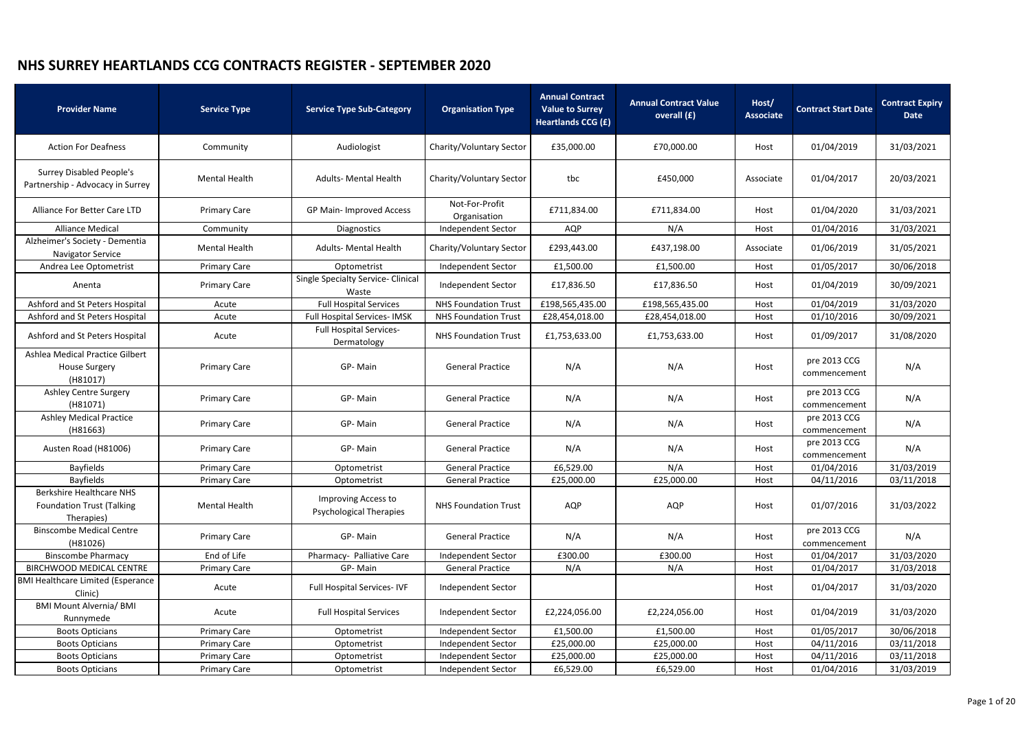| <b>Provider Name</b>                                                              | <b>Service Type</b>  | <b>Service Type Sub-Category</b>                             | <b>Organisation Type</b>       | <b>Annual Contract</b><br><b>Value to Surrey</b><br>Heartlands CCG (£) | <b>Annual Contract Value</b><br>overall (£) | Host/<br><b>Associate</b> | <b>Contract Start Date</b>   | <b>Contract Expiry</b><br><b>Date</b> |
|-----------------------------------------------------------------------------------|----------------------|--------------------------------------------------------------|--------------------------------|------------------------------------------------------------------------|---------------------------------------------|---------------------------|------------------------------|---------------------------------------|
| <b>Action For Deafness</b>                                                        | Community            | Audiologist                                                  | Charity/Voluntary Sector       | £35,000.00                                                             | £70,000.00                                  | Host                      | 01/04/2019                   | 31/03/2021                            |
| <b>Surrey Disabled People's</b><br>Partnership - Advocacy in Surrey               | <b>Mental Health</b> | <b>Adults- Mental Health</b>                                 | Charity/Voluntary Sector       | tbc                                                                    | £450,000                                    | Associate                 | 01/04/2017                   | 20/03/2021                            |
| Alliance For Better Care LTD                                                      | <b>Primary Care</b>  | GP Main- Improved Access                                     | Not-For-Profit<br>Organisation | £711,834.00                                                            | £711,834.00                                 | Host                      | 01/04/2020                   | 31/03/2021                            |
| <b>Alliance Medical</b>                                                           | Community            | <b>Diagnostics</b>                                           | Independent Sector             | AQP                                                                    | N/A                                         | Host                      | 01/04/2016                   | 31/03/2021                            |
| Alzheimer's Society - Dementia<br>Navigator Service                               | <b>Mental Health</b> | <b>Adults- Mental Health</b>                                 | Charity/Voluntary Sector       | £293,443.00                                                            | £437,198.00                                 | Associate                 | 01/06/2019                   | 31/05/2021                            |
| Andrea Lee Optometrist                                                            | <b>Primary Care</b>  | Optometrist                                                  | Independent Sector             | £1,500.00                                                              | £1,500.00                                   | Host                      | 01/05/2017                   | 30/06/2018                            |
| Anenta                                                                            | <b>Primary Care</b>  | Single Specialty Service- Clinical<br>Waste                  | Independent Sector             | £17,836.50                                                             | £17,836.50                                  | Host                      | 01/04/2019                   | 30/09/2021                            |
| Ashford and St Peters Hospital                                                    | Acute                | <b>Full Hospital Services</b>                                | <b>NHS Foundation Trust</b>    | £198,565,435.00                                                        | £198,565,435.00                             | Host                      | 01/04/2019                   | 31/03/2020                            |
| Ashford and St Peters Hospital                                                    | Acute                | <b>Full Hospital Services-IMSK</b>                           | <b>NHS Foundation Trust</b>    | £28,454,018.00                                                         | £28,454,018.00                              | Host                      | 01/10/2016                   | 30/09/2021                            |
| Ashford and St Peters Hospital                                                    | Acute                | <b>Full Hospital Services-</b><br>Dermatology                | <b>NHS Foundation Trust</b>    | £1,753,633.00                                                          | £1,753,633.00                               | Host                      | 01/09/2017                   | 31/08/2020                            |
| Ashlea Medical Practice Gilbert<br><b>House Surgery</b><br>(H81017)               | <b>Primary Care</b>  | GP-Main                                                      | <b>General Practice</b>        | N/A                                                                    | N/A                                         | Host                      | pre 2013 CCG<br>commencement | N/A                                   |
| <b>Ashley Centre Surgery</b><br>(H81071)                                          | <b>Primary Care</b>  | GP-Main                                                      | <b>General Practice</b>        | N/A                                                                    | N/A                                         | Host                      | pre 2013 CCG<br>commencement | N/A                                   |
| <b>Ashley Medical Practice</b><br>(H81663)                                        | <b>Primary Care</b>  | GP-Main                                                      | <b>General Practice</b>        | N/A                                                                    | N/A                                         | Host                      | pre 2013 CCG<br>commencement | N/A                                   |
| Austen Road (H81006)                                                              | <b>Primary Care</b>  | GP-Main                                                      | <b>General Practice</b>        | N/A                                                                    | N/A                                         | Host                      | pre 2013 CCG<br>commencement | N/A                                   |
| <b>Bayfields</b>                                                                  | <b>Primary Care</b>  | Optometrist                                                  | <b>General Practice</b>        | £6,529.00                                                              | N/A                                         | Host                      | 01/04/2016                   | 31/03/2019                            |
| <b>Bayfields</b>                                                                  | <b>Primary Care</b>  | Optometrist                                                  | <b>General Practice</b>        | £25,000.00                                                             | £25,000.00                                  | Host                      | 04/11/2016                   | 03/11/2018                            |
| <b>Berkshire Healthcare NHS</b><br><b>Foundation Trust (Talking</b><br>Therapies) | <b>Mental Health</b> | <b>Improving Access to</b><br><b>Psychological Therapies</b> | <b>NHS Foundation Trust</b>    | <b>AQP</b>                                                             | AQP                                         | Host                      | 01/07/2016                   | 31/03/2022                            |
| <b>Binscombe Medical Centre</b><br>(H81026)                                       | <b>Primary Care</b>  | GP-Main                                                      | <b>General Practice</b>        | N/A                                                                    | N/A                                         | Host                      | pre 2013 CCG<br>commencement | N/A                                   |
| <b>Binscombe Pharmacy</b>                                                         | End of Life          | Pharmacy- Palliative Care                                    | <b>Independent Sector</b>      | £300.00                                                                | £300.00                                     | Host                      | 01/04/2017                   | 31/03/2020                            |
| BIRCHWOOD MEDICAL CENTRE                                                          | <b>Primary Care</b>  | GP-Main                                                      | <b>General Practice</b>        | N/A                                                                    | N/A                                         | Host                      | 01/04/2017                   | 31/03/2018                            |
| <b>BMI Healthcare Limited (Esperance</b><br>Clinic)                               | Acute                | <b>Full Hospital Services-IVF</b>                            | Independent Sector             |                                                                        |                                             | Host                      | 01/04/2017                   | 31/03/2020                            |
| <b>BMI Mount Alvernia/ BMI</b><br>Runnymede                                       | Acute                | <b>Full Hospital Services</b>                                | Independent Sector             | £2,224,056.00                                                          | £2,224,056.00                               | Host                      | 01/04/2019                   | 31/03/2020                            |
| <b>Boots Opticians</b>                                                            | <b>Primary Care</b>  | Optometrist                                                  | Independent Sector             | £1,500.00                                                              | £1,500.00                                   | Host                      | 01/05/2017                   | 30/06/2018                            |
| <b>Boots Opticians</b>                                                            | <b>Primary Care</b>  | Optometrist                                                  | Independent Sector             | £25,000.00                                                             | £25,000.00                                  | Host                      | 04/11/2016                   | 03/11/2018                            |
| <b>Boots Opticians</b>                                                            | <b>Primary Care</b>  | Optometrist                                                  | Independent Sector             | £25,000.00                                                             | £25,000.00                                  | Host                      | 04/11/2016                   | 03/11/2018                            |
| <b>Boots Opticians</b>                                                            | <b>Primary Care</b>  | Optometrist                                                  | Independent Sector             | £6,529.00                                                              | £6,529.00                                   | Host                      | 01/04/2016                   | 31/03/2019                            |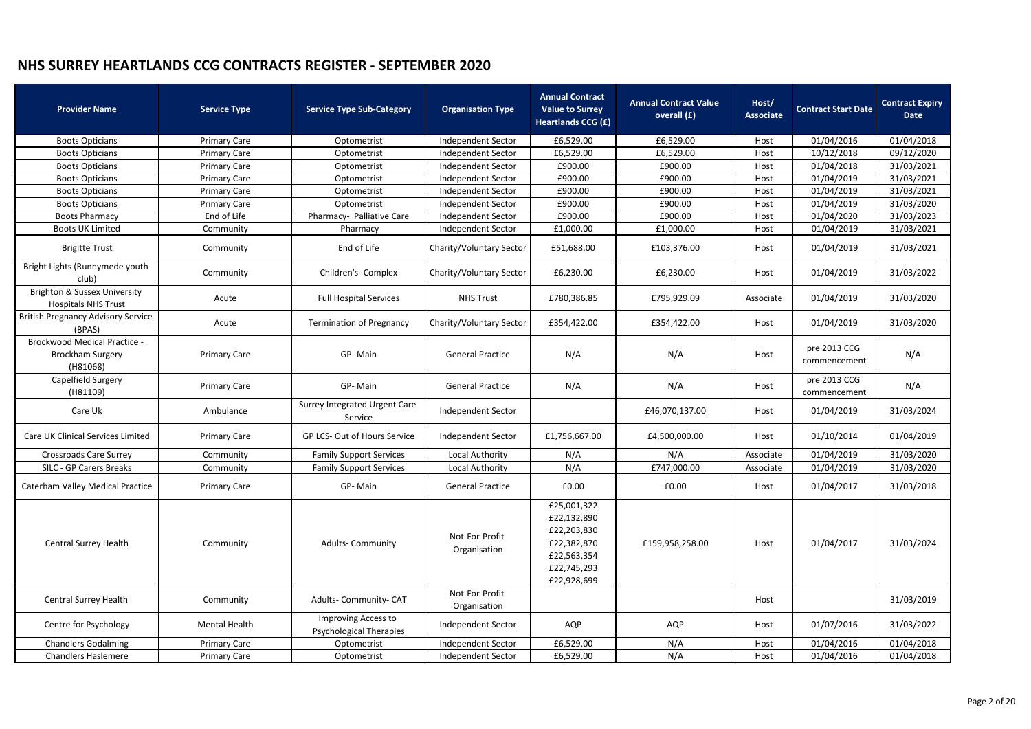| <b>Provider Name</b>                                                       | <b>Service Type</b> | <b>Service Type Sub-Category</b>                      | <b>Organisation Type</b>       | <b>Annual Contract</b><br><b>Value to Surrey</b><br><b>Heartlands CCG (£)</b>                         | <b>Annual Contract Value</b><br>overall (£) | Host/<br><b>Associate</b> | <b>Contract Start Date</b>   | <b>Contract Expiry</b><br><b>Date</b> |
|----------------------------------------------------------------------------|---------------------|-------------------------------------------------------|--------------------------------|-------------------------------------------------------------------------------------------------------|---------------------------------------------|---------------------------|------------------------------|---------------------------------------|
| <b>Boots Opticians</b>                                                     | <b>Primary Care</b> | Optometrist                                           | Independent Sector             | £6,529.00                                                                                             | £6,529.00                                   | Host                      | 01/04/2016                   | 01/04/2018                            |
| <b>Boots Opticians</b>                                                     | <b>Primary Care</b> | Optometrist                                           | Independent Sector             | £6,529.00                                                                                             | £6,529.00                                   | Host                      | 10/12/2018                   | 09/12/2020                            |
| <b>Boots Opticians</b>                                                     | <b>Primary Care</b> | Optometrist                                           | Independent Sector             | £900.00                                                                                               | £900.00                                     | Host                      | 01/04/2018                   | 31/03/2021                            |
| <b>Boots Opticians</b>                                                     | <b>Primary Care</b> | Optometrist                                           | Independent Sector             | £900.00                                                                                               | £900.00                                     | Host                      | 01/04/2019                   | 31/03/2021                            |
| <b>Boots Opticians</b>                                                     | <b>Primary Care</b> | Optometrist                                           | <b>Independent Sector</b>      | £900.00                                                                                               | £900.00                                     | Host                      | 01/04/2019                   | 31/03/2021                            |
| <b>Boots Opticians</b>                                                     | <b>Primary Care</b> | Optometrist                                           | Independent Sector             | £900.00                                                                                               | £900.00                                     | Host                      | 01/04/2019                   | 31/03/2020                            |
| <b>Boots Pharmacy</b>                                                      | End of Life         | Pharmacy- Palliative Care                             | Independent Sector             | £900.00                                                                                               | £900.00                                     | Host                      | 01/04/2020                   | 31/03/2023                            |
| <b>Boots UK Limited</b>                                                    | Community           | Pharmacy                                              | Independent Sector             | £1,000.00                                                                                             | £1,000.00                                   | Host                      | 01/04/2019                   | 31/03/2021                            |
| <b>Brigitte Trust</b>                                                      | Community           | End of Life                                           | Charity/Voluntary Sector       | £51,688.00                                                                                            | £103,376.00                                 | Host                      | 01/04/2019                   | 31/03/2021                            |
| Bright Lights (Runnymede youth<br>club)                                    | Community           | Children's- Complex                                   | Charity/Voluntary Sector       | £6,230.00                                                                                             | £6,230.00                                   | Host                      | 01/04/2019                   | 31/03/2022                            |
| Brighton & Sussex University<br><b>Hospitals NHS Trust</b>                 | Acute               | <b>Full Hospital Services</b>                         | <b>NHS Trust</b>               | £780,386.85                                                                                           | £795,929.09                                 | Associate                 | 01/04/2019                   | 31/03/2020                            |
| <b>British Pregnancy Advisory Service</b><br>(BPAS)                        | Acute               | <b>Termination of Pregnancy</b>                       | Charity/Voluntary Sector       | £354,422.00                                                                                           | £354,422.00                                 | Host                      | 01/04/2019                   | 31/03/2020                            |
| <b>Brockwood Medical Practice -</b><br><b>Brockham Surgery</b><br>(H81068) | <b>Primary Care</b> | GP-Main                                               | <b>General Practice</b>        | N/A                                                                                                   | N/A                                         | Host                      | pre 2013 CCG<br>commencement | N/A                                   |
| Capelfield Surgery<br>(H81109)                                             | <b>Primary Care</b> | GP-Main                                               | <b>General Practice</b>        | N/A                                                                                                   | N/A                                         | Host                      | pre 2013 CCG<br>commencement | N/A                                   |
| Care Uk                                                                    | Ambulance           | <b>Surrey Integrated Urgent Care</b><br>Service       | Independent Sector             |                                                                                                       | £46,070,137.00                              | Host                      | 01/04/2019                   | 31/03/2024                            |
| Care UK Clinical Services Limited                                          | <b>Primary Care</b> | GP LCS- Out of Hours Service                          | <b>Independent Sector</b>      | £1,756,667.00                                                                                         | £4,500,000.00                               | Host                      | 01/10/2014                   | 01/04/2019                            |
| <b>Crossroads Care Surrey</b>                                              | Community           | <b>Family Support Services</b>                        | Local Authority                | N/A                                                                                                   | N/A                                         | Associate                 | 01/04/2019                   | 31/03/2020                            |
| SILC - GP Carers Breaks                                                    | Community           | <b>Family Support Services</b>                        | Local Authority                | N/A                                                                                                   | £747,000.00                                 | Associate                 | 01/04/2019                   | 31/03/2020                            |
| <b>Caterham Valley Medical Practice</b>                                    | <b>Primary Care</b> | GP-Main                                               | <b>General Practice</b>        | £0.00                                                                                                 | £0.00                                       | Host                      | 01/04/2017                   | 31/03/2018                            |
| Central Surrey Health                                                      | Community           | <b>Adults-Community</b>                               | Not-For-Profit<br>Organisation | £25,001,322<br>£22,132,890<br>£22,203,830<br>£22,382,870<br>£22,563,354<br>£22,745,293<br>£22,928,699 | £159,958,258.00                             | Host                      | 01/04/2017                   | 31/03/2024                            |
| <b>Central Surrey Health</b>                                               | Community           | Adults- Community- CAT                                | Not-For-Profit<br>Organisation |                                                                                                       |                                             | Host                      |                              | 31/03/2019                            |
| Centre for Psychology                                                      | Mental Health       | Improving Access to<br><b>Psychological Therapies</b> | Independent Sector             | AQP                                                                                                   | AQP                                         | Host                      | 01/07/2016                   | 31/03/2022                            |
| <b>Chandlers Godalming</b>                                                 | <b>Primary Care</b> | Optometrist                                           | Independent Sector             | £6,529.00                                                                                             | N/A                                         | Host                      | 01/04/2016                   | 01/04/2018                            |
| <b>Chandlers Haslemere</b>                                                 | <b>Primary Care</b> | Optometrist                                           | Independent Sector             | £6,529.00                                                                                             | N/A                                         | Host                      | 01/04/2016                   | 01/04/2018                            |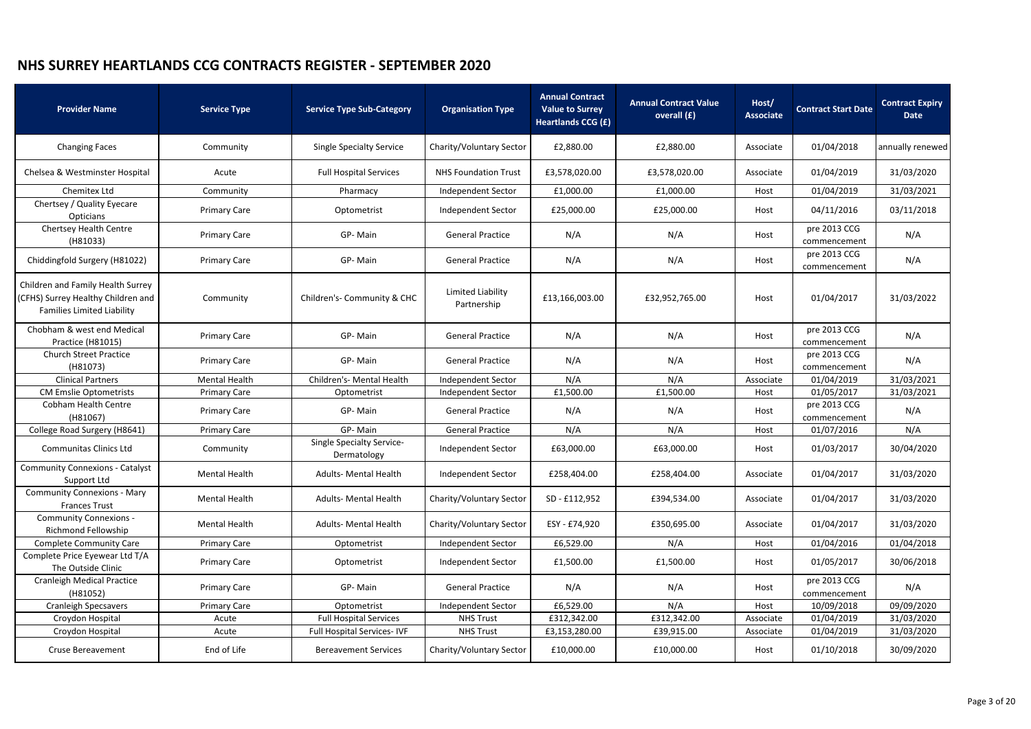| <b>Provider Name</b>                                                                                         | <b>Service Type</b>  | <b>Service Type Sub-Category</b>                | <b>Organisation Type</b>         | <b>Annual Contract</b><br><b>Value to Surrey</b><br><b>Heartlands CCG (£)</b> | <b>Annual Contract Value</b><br>overall (£) | Host/<br><b>Associate</b> | <b>Contract Start Date</b>   | <b>Contract Expiry</b><br><b>Date</b> |
|--------------------------------------------------------------------------------------------------------------|----------------------|-------------------------------------------------|----------------------------------|-------------------------------------------------------------------------------|---------------------------------------------|---------------------------|------------------------------|---------------------------------------|
| <b>Changing Faces</b>                                                                                        | Community            | <b>Single Specialty Service</b>                 | Charity/Voluntary Sector         | £2,880.00                                                                     | £2,880.00                                   | Associate                 | 01/04/2018                   | annually renewed                      |
| Chelsea & Westminster Hospital                                                                               | Acute                | <b>Full Hospital Services</b>                   | <b>NHS Foundation Trust</b>      | £3,578,020.00                                                                 | £3,578,020.00                               | Associate                 | 01/04/2019                   | 31/03/2020                            |
| Chemitex Ltd                                                                                                 | Community            | Pharmacy                                        | Independent Sector               | £1,000.00                                                                     | £1,000.00                                   | Host                      | 01/04/2019                   | 31/03/2021                            |
| Chertsey / Quality Eyecare<br>Opticians                                                                      | <b>Primary Care</b>  | Optometrist                                     | Independent Sector               | £25,000.00                                                                    | £25,000.00                                  | Host                      | 04/11/2016                   | 03/11/2018                            |
| <b>Chertsey Health Centre</b><br>(H81033)                                                                    | <b>Primary Care</b>  | GP-Main                                         | <b>General Practice</b>          | N/A                                                                           | N/A                                         | Host                      | pre 2013 CCG<br>commencement | N/A                                   |
| Chiddingfold Surgery (H81022)                                                                                | <b>Primary Care</b>  | GP-Main                                         | <b>General Practice</b>          | N/A                                                                           | N/A                                         | Host                      | pre 2013 CCG<br>commencement | N/A                                   |
| Children and Family Health Surrey<br>(CFHS) Surrey Healthy Children and<br><b>Families Limited Liability</b> | Community            | Children's- Community & CHC                     | Limited Liability<br>Partnership | £13,166,003.00                                                                | £32,952,765.00                              | Host                      | 01/04/2017                   | 31/03/2022                            |
| Chobham & west end Medical<br>Practice (H81015)                                                              | <b>Primary Care</b>  | GP-Main                                         | <b>General Practice</b>          | N/A                                                                           | N/A                                         | Host                      | pre 2013 CCG<br>commencement | N/A                                   |
| <b>Church Street Practice</b><br>(H81073)                                                                    | <b>Primary Care</b>  | GP-Main                                         | <b>General Practice</b>          | N/A                                                                           | N/A                                         | Host                      | pre 2013 CCG<br>commencement | N/A                                   |
| <b>Clinical Partners</b>                                                                                     | <b>Mental Health</b> | Children's- Mental Health                       | Independent Sector               | N/A                                                                           | N/A                                         | Associate                 | 01/04/2019                   | 31/03/2021                            |
| <b>CM Emslie Optometrists</b>                                                                                | <b>Primary Care</b>  | Optometrist                                     | Independent Sector               | £1,500.00                                                                     | £1,500.00                                   | Host                      | 01/05/2017                   | 31/03/2021                            |
| <b>Cobham Health Centre</b><br>(H81067)                                                                      | <b>Primary Care</b>  | GP-Main                                         | <b>General Practice</b>          | N/A                                                                           | N/A                                         | Host                      | pre 2013 CCG<br>commencement | N/A                                   |
| College Road Surgery (H8641)                                                                                 | <b>Primary Care</b>  | GP-Main                                         | <b>General Practice</b>          | N/A                                                                           | N/A                                         | Host                      | 01/07/2016                   | N/A                                   |
| <b>Communitas Clinics Ltd</b>                                                                                | Community            | <b>Single Specialty Service-</b><br>Dermatology | Independent Sector               | £63,000.00                                                                    | £63,000.00                                  | Host                      | 01/03/2017                   | 30/04/2020                            |
| <b>Community Connexions - Catalyst</b><br>Support Ltd                                                        | Mental Health        | <b>Adults- Mental Health</b>                    | Independent Sector               | £258,404.00                                                                   | £258,404.00                                 | Associate                 | 01/04/2017                   | 31/03/2020                            |
| <b>Community Connexions - Mary</b><br><b>Frances Trust</b>                                                   | Mental Health        | <b>Adults- Mental Health</b>                    | Charity/Voluntary Sector         | SD-£112,952                                                                   | £394,534.00                                 | Associate                 | 01/04/2017                   | 31/03/2020                            |
| <b>Community Connexions -</b><br>Richmond Fellowship                                                         | <b>Mental Health</b> | <b>Adults- Mental Health</b>                    | Charity/Voluntary Sector         | ESY - £74,920                                                                 | £350,695.00                                 | Associate                 | 01/04/2017                   | 31/03/2020                            |
| <b>Complete Community Care</b>                                                                               | <b>Primary Care</b>  | Optometrist                                     | <b>Independent Sector</b>        | £6,529.00                                                                     | N/A                                         | Host                      | 01/04/2016                   | 01/04/2018                            |
| Complete Price Eyewear Ltd T/A<br>The Outside Clinic                                                         | <b>Primary Care</b>  | Optometrist                                     | <b>Independent Sector</b>        | £1,500.00                                                                     | £1,500.00                                   | Host                      | 01/05/2017                   | 30/06/2018                            |
| <b>Cranleigh Medical Practice</b><br>(H81052)                                                                | <b>Primary Care</b>  | GP-Main                                         | <b>General Practice</b>          | N/A                                                                           | N/A                                         | Host                      | pre 2013 CCG<br>commencement | N/A                                   |
| <b>Cranleigh Specsavers</b>                                                                                  | <b>Primary Care</b>  | Optometrist                                     | Independent Sector               | £6,529.00                                                                     | N/A                                         | Host                      | 10/09/2018                   | 09/09/2020                            |
| Croydon Hospital                                                                                             | Acute                | <b>Full Hospital Services</b>                   | <b>NHS Trust</b>                 | £312,342.00                                                                   | £312,342.00                                 | Associate                 | 01/04/2019                   | 31/03/2020                            |
| Croydon Hospital                                                                                             | Acute                | Full Hospital Services-IVF                      | <b>NHS Trust</b>                 | £3,153,280.00                                                                 | £39,915.00                                  | Associate                 | 01/04/2019                   | 31/03/2020                            |
| <b>Cruse Bereavement</b>                                                                                     | End of Life          | <b>Bereavement Services</b>                     | Charity/Voluntary Sector         | £10,000.00                                                                    | £10,000.00                                  | Host                      | 01/10/2018                   | 30/09/2020                            |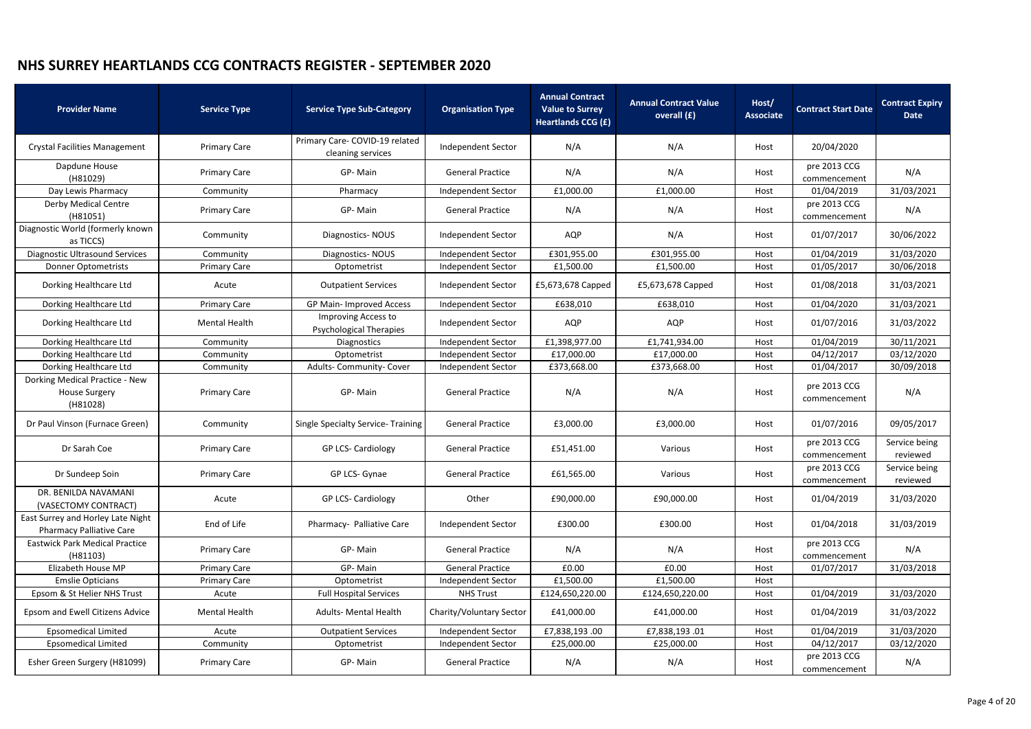| <b>Provider Name</b>                                                 | <b>Service Type</b>  | <b>Service Type Sub-Category</b>                      | <b>Organisation Type</b> | <b>Annual Contract</b><br><b>Value to Surrey</b><br><b>Heartlands CCG (£)</b> | <b>Annual Contract Value</b><br>overall (£) | Host/<br><b>Associate</b> | <b>Contract Start Date</b>   | <b>Contract Expiry</b><br>Date |
|----------------------------------------------------------------------|----------------------|-------------------------------------------------------|--------------------------|-------------------------------------------------------------------------------|---------------------------------------------|---------------------------|------------------------------|--------------------------------|
| <b>Crystal Facilities Management</b>                                 | <b>Primary Care</b>  | Primary Care- COVID-19 related<br>cleaning services   | Independent Sector       | N/A                                                                           | N/A                                         | Host                      | 20/04/2020                   |                                |
| Dapdune House<br>(H81029)                                            | <b>Primary Care</b>  | GP-Main                                               | <b>General Practice</b>  | N/A                                                                           | N/A                                         | Host                      | pre 2013 CCG<br>commencement | N/A                            |
| Day Lewis Pharmacy                                                   | Community            | Pharmacy                                              | Independent Sector       | £1,000.00                                                                     | £1,000.00                                   | Host                      | 01/04/2019                   | 31/03/2021                     |
| <b>Derby Medical Centre</b><br>(H81051)                              | <b>Primary Care</b>  | GP-Main                                               | <b>General Practice</b>  | N/A                                                                           | N/A                                         | Host                      | pre 2013 CCG<br>commencement | N/A                            |
| Diagnostic World (formerly known<br>as TICCS)                        | Community            | Diagnostics-NOUS                                      | Independent Sector       | <b>AQP</b>                                                                    | N/A                                         | Host                      | 01/07/2017                   | 30/06/2022                     |
| Diagnostic Ultrasound Services                                       | Community            | Diagnostics-NOUS                                      | Independent Sector       | £301,955.00                                                                   | £301,955.00                                 | Host                      | 01/04/2019                   | 31/03/2020                     |
| <b>Donner Optometrists</b>                                           | <b>Primary Care</b>  | Optometrist                                           | Independent Sector       | £1,500.00                                                                     | £1,500.00                                   | Host                      | 01/05/2017                   | 30/06/2018                     |
| Dorking Healthcare Ltd                                               | Acute                | <b>Outpatient Services</b>                            | Independent Sector       | £5,673,678 Capped                                                             | £5,673,678 Capped                           | Host                      | 01/08/2018                   | 31/03/2021                     |
| Dorking Healthcare Ltd                                               | <b>Primary Care</b>  | GP Main- Improved Access                              | Independent Sector       | £638,010                                                                      | £638,010                                    | Host                      | 01/04/2020                   | 31/03/2021                     |
| Dorking Healthcare Ltd                                               | <b>Mental Health</b> | Improving Access to<br><b>Psychological Therapies</b> | Independent Sector       | AQP                                                                           | AQP                                         | Host                      | 01/07/2016                   | 31/03/2022                     |
| Dorking Healthcare Ltd                                               | Community            | <b>Diagnostics</b>                                    | Independent Sector       | £1,398,977.00                                                                 | £1,741,934.00                               | Host                      | 01/04/2019                   | 30/11/2021                     |
| Dorking Healthcare Ltd                                               | Community            | Optometrist                                           | Independent Sector       | £17,000.00                                                                    | £17,000.00                                  | Host                      | 04/12/2017                   | 03/12/2020                     |
| Dorking Healthcare Ltd                                               | Community            | Adults-Community-Cover                                | Independent Sector       | £373,668.00                                                                   | £373,668.00                                 | Host                      | 01/04/2017                   | 30/09/2018                     |
| Dorking Medical Practice - New<br><b>House Surgery</b><br>(H81028)   | <b>Primary Care</b>  | GP-Main                                               | <b>General Practice</b>  | N/A                                                                           | N/A                                         | Host                      | pre 2013 CCG<br>commencement | N/A                            |
| Dr Paul Vinson (Furnace Green)                                       | Community            | Single Specialty Service-Training                     | <b>General Practice</b>  | £3,000.00                                                                     | £3,000.00                                   | Host                      | 01/07/2016                   | 09/05/2017                     |
| Dr Sarah Coe                                                         | <b>Primary Care</b>  | GP LCS- Cardiology                                    | <b>General Practice</b>  | £51,451.00                                                                    | Various                                     | Host                      | pre 2013 CCG<br>commencement | Service being<br>reviewed      |
| Dr Sundeep Soin                                                      | <b>Primary Care</b>  | GP LCS- Gynae                                         | <b>General Practice</b>  | £61,565.00                                                                    | Various                                     | Host                      | pre 2013 CCG<br>commencement | Service being<br>reviewed      |
| DR. BENILDA NAVAMANI<br>(VASECTOMY CONTRACT)                         | Acute                | <b>GP LCS- Cardiology</b>                             | Other                    | £90,000.00                                                                    | £90,000.00                                  | Host                      | 01/04/2019                   | 31/03/2020                     |
| East Surrey and Horley Late Night<br><b>Pharmacy Palliative Care</b> | End of Life          | Pharmacy- Palliative Care                             | Independent Sector       | £300.00                                                                       | £300.00                                     | Host                      | 01/04/2018                   | 31/03/2019                     |
| <b>Eastwick Park Medical Practice</b><br>(H81103)                    | <b>Primary Care</b>  | GP-Main                                               | <b>General Practice</b>  | N/A                                                                           | N/A                                         | Host                      | pre 2013 CCG<br>commencement | N/A                            |
| Elizabeth House MP                                                   | <b>Primary Care</b>  | GP-Main                                               | <b>General Practice</b>  | £0.00                                                                         | £0.00                                       | Host                      | 01/07/2017                   | 31/03/2018                     |
| <b>Emslie Opticians</b>                                              | <b>Primary Care</b>  | Optometrist                                           | Independent Sector       | £1,500.00                                                                     | £1,500.00                                   | Host                      |                              |                                |
| Epsom & St Helier NHS Trust                                          | Acute                | <b>Full Hospital Services</b>                         | <b>NHS Trust</b>         | £124,650,220.00                                                               | £124,650,220.00                             | Host                      | 01/04/2019                   | 31/03/2020                     |
| Epsom and Ewell Citizens Advice                                      | <b>Mental Health</b> | <b>Adults- Mental Health</b>                          | Charity/Voluntary Sector | £41,000.00                                                                    | £41,000.00                                  | Host                      | 01/04/2019                   | 31/03/2022                     |
| <b>Epsomedical Limited</b>                                           | Acute                | <b>Outpatient Services</b>                            | Independent Sector       | £7,838,193.00                                                                 | £7,838,193.01                               | Host                      | 01/04/2019                   | 31/03/2020                     |
| <b>Epsomedical Limited</b>                                           | Community            | Optometrist                                           | Independent Sector       | £25,000.00                                                                    | £25,000.00                                  | Host                      | 04/12/2017                   | 03/12/2020                     |
| Esher Green Surgery (H81099)                                         | <b>Primary Care</b>  | GP-Main                                               | <b>General Practice</b>  | N/A                                                                           | N/A                                         | Host                      | pre 2013 CCG<br>commencement | N/A                            |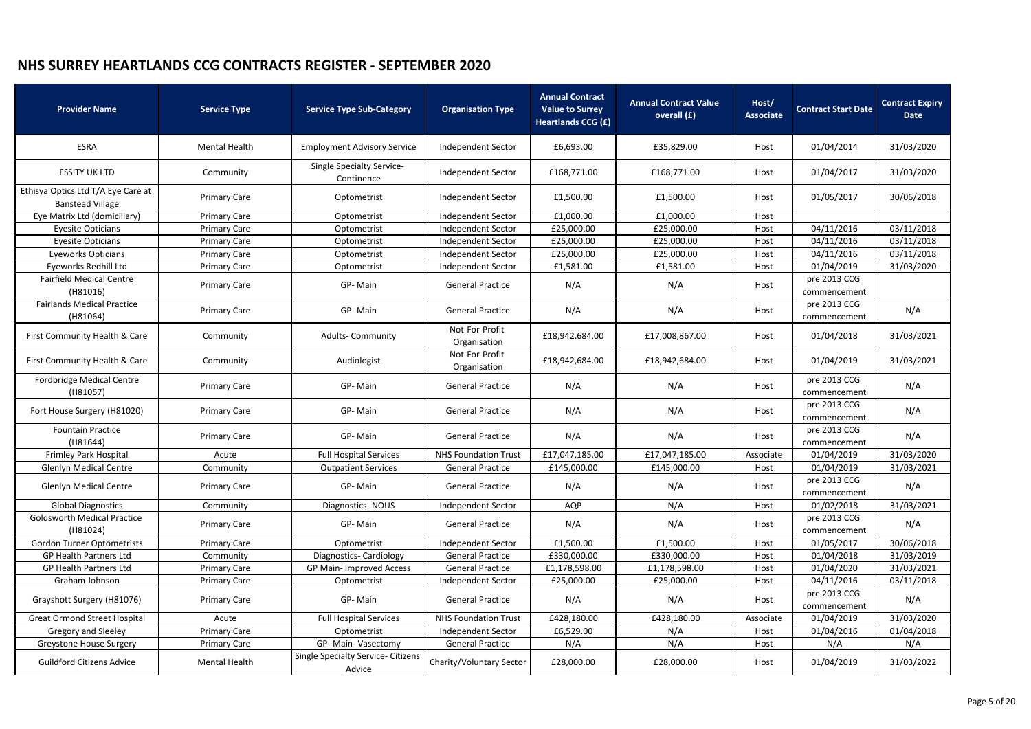| <b>Provider Name</b>                                          | <b>Service Type</b>  | <b>Service Type Sub-Category</b>                    | <b>Organisation Type</b>       | <b>Annual Contract</b><br><b>Value to Surrey</b><br><b>Heartlands CCG (£)</b> | <b>Annual Contract Value</b><br>overall (£) | Host/<br><b>Associate</b> | <b>Contract Start Date</b>   | <b>Contract Expiry</b><br><b>Date</b> |
|---------------------------------------------------------------|----------------------|-----------------------------------------------------|--------------------------------|-------------------------------------------------------------------------------|---------------------------------------------|---------------------------|------------------------------|---------------------------------------|
| <b>ESRA</b>                                                   | <b>Mental Health</b> | <b>Employment Advisory Service</b>                  | <b>Independent Sector</b>      | £6,693.00                                                                     | £35,829.00                                  | Host                      | 01/04/2014                   | 31/03/2020                            |
| <b>ESSITY UK LTD</b>                                          | Community            | <b>Single Specialty Service-</b><br>Continence      | Independent Sector             | £168,771.00                                                                   | £168,771.00                                 | Host                      | 01/04/2017                   | 31/03/2020                            |
| Ethisya Optics Ltd T/A Eye Care at<br><b>Banstead Village</b> | <b>Primary Care</b>  | Optometrist                                         | Independent Sector             | £1,500.00                                                                     | £1,500.00                                   | Host                      | 01/05/2017                   | 30/06/2018                            |
| Eye Matrix Ltd (domicillary)                                  | <b>Primary Care</b>  | Optometrist                                         | Independent Sector             | £1,000.00                                                                     | £1,000.00                                   | Host                      |                              |                                       |
| <b>Eyesite Opticians</b>                                      | <b>Primary Care</b>  | Optometrist                                         | Independent Sector             | £25,000.00                                                                    | £25,000.00                                  | Host                      | 04/11/2016                   | 03/11/2018                            |
| <b>Eyesite Opticians</b>                                      | <b>Primary Care</b>  | Optometrist                                         | Independent Sector             | £25,000.00                                                                    | £25,000.00                                  | Host                      | 04/11/2016                   | 03/11/2018                            |
| <b>Eyeworks Opticians</b>                                     | <b>Primary Care</b>  | Optometrist                                         | Independent Sector             | £25,000.00                                                                    | £25,000.00                                  | Host                      | 04/11/2016                   | 03/11/2018                            |
| Eyeworks Redhill Ltd                                          | <b>Primary Care</b>  | Optometrist                                         | Independent Sector             | £1,581.00                                                                     | £1,581.00                                   | Host                      | 01/04/2019                   | 31/03/2020                            |
| <b>Fairfield Medical Centre</b><br>(H81016)                   | <b>Primary Care</b>  | GP-Main                                             | <b>General Practice</b>        | N/A                                                                           | N/A                                         | Host                      | pre 2013 CCG<br>commencement |                                       |
| <b>Fairlands Medical Practice</b><br>(H81064)                 | <b>Primary Care</b>  | GP-Main                                             | <b>General Practice</b>        | N/A                                                                           | N/A                                         | Host                      | pre 2013 CCG<br>commencement | N/A                                   |
| First Community Health & Care                                 | Community            | <b>Adults- Community</b>                            | Not-For-Profit<br>Organisation | £18,942,684.00                                                                | £17,008,867.00                              | Host                      | 01/04/2018                   | 31/03/2021                            |
| First Community Health & Care                                 | Community            | Audiologist                                         | Not-For-Profit<br>Organisation | £18,942,684.00                                                                | £18,942,684.00                              | Host                      | 01/04/2019                   | 31/03/2021                            |
| <b>Fordbridge Medical Centre</b><br>(H81057)                  | <b>Primary Care</b>  | GP-Main                                             | <b>General Practice</b>        | N/A                                                                           | N/A                                         | Host                      | pre 2013 CCG<br>commencement | N/A                                   |
| Fort House Surgery (H81020)                                   | <b>Primary Care</b>  | GP-Main                                             | <b>General Practice</b>        | N/A                                                                           | N/A                                         | Host                      | pre 2013 CCG<br>commencement | N/A                                   |
| <b>Fountain Practice</b><br>(H81644)                          | <b>Primary Care</b>  | GP-Main                                             | <b>General Practice</b>        | N/A                                                                           | N/A                                         | Host                      | pre 2013 CCG<br>commencement | N/A                                   |
| <b>Frimley Park Hospital</b>                                  | Acute                | <b>Full Hospital Services</b>                       | <b>NHS Foundation Trust</b>    | £17,047,185.00                                                                | £17,047,185.00                              | Associate                 | 01/04/2019                   | 31/03/2020                            |
| <b>Glenlyn Medical Centre</b>                                 | Community            | <b>Outpatient Services</b>                          | <b>General Practice</b>        | £145,000.00                                                                   | £145,000.00                                 | Host                      | 01/04/2019                   | 31/03/2021                            |
| <b>Glenlyn Medical Centre</b>                                 | <b>Primary Care</b>  | GP-Main                                             | <b>General Practice</b>        | N/A                                                                           | N/A                                         | Host                      | pre 2013 CCG<br>commencement | N/A                                   |
| <b>Global Diagnostics</b>                                     | Community            | Diagnostics-NOUS                                    | Independent Sector             | AQP                                                                           | N/A                                         | Host                      | 01/02/2018                   | 31/03/2021                            |
| <b>Goldsworth Medical Practice</b><br>(H81024)                | <b>Primary Care</b>  | GP-Main                                             | <b>General Practice</b>        | N/A                                                                           | N/A                                         | Host                      | pre 2013 CCG<br>commencement | N/A                                   |
| <b>Gordon Turner Optometrists</b>                             | <b>Primary Care</b>  | Optometrist                                         | Independent Sector             | £1,500.00                                                                     | £1,500.00                                   | Host                      | 01/05/2017                   | 30/06/2018                            |
| <b>GP Health Partners Ltd</b>                                 | Community            | Diagnostics-Cardiology                              | <b>General Practice</b>        | £330,000.00                                                                   | £330,000.00                                 | Host                      | 01/04/2018                   | 31/03/2019                            |
| <b>GP Health Partners Ltd</b>                                 | <b>Primary Care</b>  | GP Main- Improved Access                            | <b>General Practice</b>        | £1,178,598.00                                                                 | £1,178,598.00                               | Host                      | 01/04/2020                   | 31/03/2021                            |
| Graham Johnson                                                | <b>Primary Care</b>  | Optometrist                                         | Independent Sector             | £25,000.00                                                                    | £25,000.00                                  | Host                      | 04/11/2016                   | 03/11/2018                            |
| Grayshott Surgery (H81076)                                    | <b>Primary Care</b>  | GP-Main                                             | <b>General Practice</b>        | N/A                                                                           | N/A                                         | Host                      | pre 2013 CCG<br>commencement | N/A                                   |
| <b>Great Ormond Street Hospital</b>                           | Acute                | <b>Full Hospital Services</b>                       | <b>NHS Foundation Trust</b>    | £428,180.00                                                                   | £428,180.00                                 | Associate                 | 01/04/2019                   | 31/03/2020                            |
| Gregory and Sleeley                                           | <b>Primary Care</b>  | Optometrist                                         | Independent Sector             | £6,529.00                                                                     | N/A                                         | Host                      | 01/04/2016                   | 01/04/2018                            |
| Greystone House Surgery                                       | <b>Primary Care</b>  | GP- Main- Vasectomy                                 | <b>General Practice</b>        | N/A                                                                           | N/A                                         | Host                      | N/A                          | N/A                                   |
| <b>Guildford Citizens Advice</b>                              | Mental Health        | <b>Single Specialty Service- Citizens</b><br>Advice | Charity/Voluntary Sector       | £28,000.00                                                                    | £28,000.00                                  | Host                      | 01/04/2019                   | 31/03/2022                            |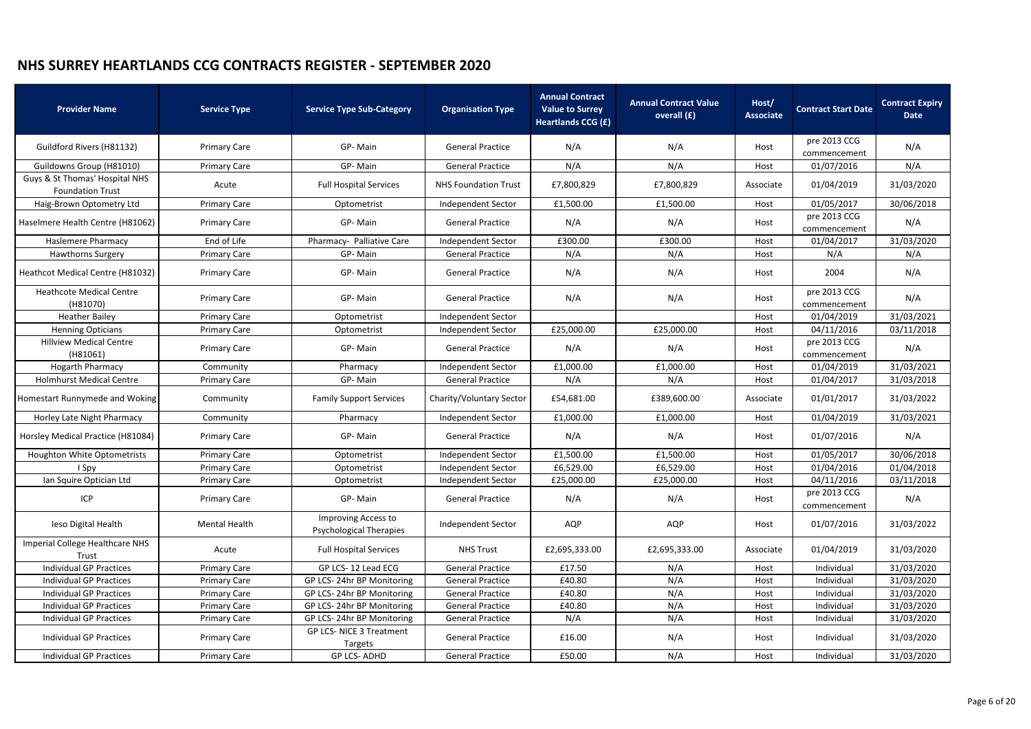| <b>Provider Name</b>                                      | <b>Service Type</b> | <b>Service Type Sub-Category</b>                      | <b>Organisation Type</b>    | <b>Annual Contract</b><br><b>Value to Surrey</b><br><b>Heartlands CCG (£)</b> | <b>Annual Contract Value</b><br>overall (£) | Host/<br><b>Associate</b> | <b>Contract Start Date</b>   | <b>Contract Expiry</b><br><b>Date</b> |
|-----------------------------------------------------------|---------------------|-------------------------------------------------------|-----------------------------|-------------------------------------------------------------------------------|---------------------------------------------|---------------------------|------------------------------|---------------------------------------|
| Guildford Rivers (H81132)                                 | <b>Primary Care</b> | GP-Main                                               | <b>General Practice</b>     | N/A                                                                           | N/A                                         | Host                      | pre 2013 CCG<br>commencement | N/A                                   |
| Guildowns Group (H81010)                                  | <b>Primary Care</b> | GP-Main                                               | <b>General Practice</b>     | N/A                                                                           | N/A                                         | Host                      | 01/07/2016                   | N/A                                   |
| Guys & St Thomas' Hospital NHS<br><b>Foundation Trust</b> | Acute               | <b>Full Hospital Services</b>                         | <b>NHS Foundation Trust</b> | £7,800,829                                                                    | £7,800,829                                  | Associate                 | 01/04/2019                   | 31/03/2020                            |
| Haig-Brown Optometry Ltd                                  | <b>Primary Care</b> | Optometrist                                           | Independent Sector          | £1,500.00                                                                     | £1,500.00                                   | Host                      | 01/05/2017                   | 30/06/2018                            |
| Haselmere Health Centre (H81062)                          | <b>Primary Care</b> | GP-Main                                               | <b>General Practice</b>     | N/A                                                                           | N/A                                         | Host                      | pre 2013 CCG<br>commencement | N/A                                   |
| <b>Haslemere Pharmacy</b>                                 | End of Life         | Pharmacy- Palliative Care                             | Independent Sector          | £300.00                                                                       | £300.00                                     | Host                      | 01/04/2017                   | 31/03/2020                            |
| <b>Hawthorns Surgery</b>                                  | <b>Primary Care</b> | GP-Main                                               | <b>General Practice</b>     | N/A                                                                           | N/A                                         | Host                      | N/A                          | N/A                                   |
| Heathcot Medical Centre (H81032)                          | <b>Primary Care</b> | GP-Main                                               | <b>General Practice</b>     | N/A                                                                           | N/A                                         | Host                      | 2004                         | N/A                                   |
| <b>Heathcote Medical Centre</b><br>(H81070)               | <b>Primary Care</b> | GP-Main                                               | <b>General Practice</b>     | N/A                                                                           | N/A                                         | Host                      | pre 2013 CCG<br>commencement | N/A                                   |
| <b>Heather Bailey</b>                                     | <b>Primary Care</b> | Optometrist                                           | Independent Sector          |                                                                               |                                             | Host                      | 01/04/2019                   | 31/03/2021                            |
| <b>Henning Opticians</b>                                  | <b>Primary Care</b> | Optometrist                                           | Independent Sector          | £25,000.00                                                                    | £25,000.00                                  | Host                      | 04/11/2016                   | 03/11/2018                            |
| <b>Hillview Medical Centre</b><br>(H81061)                | <b>Primary Care</b> | GP-Main                                               | <b>General Practice</b>     | N/A                                                                           | N/A                                         | Host                      | pre 2013 CCG<br>commencement | N/A                                   |
| <b>Hogarth Pharmacy</b>                                   | Community           | Pharmacy                                              | Independent Sector          | £1,000.00                                                                     | £1,000.00                                   | Host                      | 01/04/2019                   | 31/03/2021                            |
| <b>Holmhurst Medical Centre</b>                           | <b>Primary Care</b> | GP-Main                                               | <b>General Practice</b>     | N/A                                                                           | N/A                                         | Host                      | 01/04/2017                   | 31/03/2018                            |
| Homestart Runnymede and Woking                            | Community           | <b>Family Support Services</b>                        | Charity/Voluntary Sector    | £54,681.00                                                                    | £389,600.00                                 | Associate                 | 01/01/2017                   | 31/03/2022                            |
| Horley Late Night Pharmacy                                | Community           | Pharmacy                                              | Independent Sector          | £1,000.00                                                                     | £1,000.00                                   | Host                      | 01/04/2019                   | 31/03/2021                            |
| Horsley Medical Practice (H81084)                         | <b>Primary Care</b> | GP-Main                                               | <b>General Practice</b>     | N/A                                                                           | N/A                                         | Host                      | 01/07/2016                   | N/A                                   |
| <b>Houghton White Optometrists</b>                        | <b>Primary Care</b> | Optometrist                                           | <b>Independent Sector</b>   | £1,500.00                                                                     | £1,500.00                                   | Host                      | 01/05/2017                   | 30/06/2018                            |
| I Spy                                                     | <b>Primary Care</b> | Optometrist                                           | Independent Sector          | £6,529.00                                                                     | £6,529.00                                   | Host                      | 01/04/2016                   | 01/04/2018                            |
| Ian Squire Optician Ltd                                   | <b>Primary Care</b> | Optometrist                                           | Independent Sector          | £25,000.00                                                                    | £25,000.00                                  | Host                      | 04/11/2016                   | 03/11/2018                            |
| ICP                                                       | <b>Primary Care</b> | GP-Main                                               | <b>General Practice</b>     | N/A                                                                           | N/A                                         | Host                      | pre 2013 CCG<br>commencement | N/A                                   |
| leso Digital Health                                       | Mental Health       | Improving Access to<br><b>Psychological Therapies</b> | Independent Sector          | AQP                                                                           | AQP                                         | Host                      | 01/07/2016                   | 31/03/2022                            |
| Imperial College Healthcare NHS<br>Trust                  | Acute               | <b>Full Hospital Services</b>                         | <b>NHS Trust</b>            | £2,695,333.00                                                                 | £2,695,333.00                               | Associate                 | 01/04/2019                   | 31/03/2020                            |
| <b>Individual GP Practices</b>                            | <b>Primary Care</b> | GP LCS-12 Lead ECG                                    | <b>General Practice</b>     | £17.50                                                                        | N/A                                         | Host                      | Individual                   | 31/03/2020                            |
| <b>Individual GP Practices</b>                            | <b>Primary Care</b> | GP LCS-24hr BP Monitoring                             | <b>General Practice</b>     | £40.80                                                                        | N/A                                         | Host                      | Individual                   | 31/03/2020                            |
| Individual GP Practices                                   | <b>Primary Care</b> | GP LCS-24hr BP Monitoring                             | <b>General Practice</b>     | £40.80                                                                        | N/A                                         | Host                      | Individual                   | 31/03/2020                            |
| <b>Individual GP Practices</b>                            | <b>Primary Care</b> | GP LCS-24hr BP Monitoring                             | <b>General Practice</b>     | £40.80                                                                        | N/A                                         | Host                      | Individual                   | 31/03/2020                            |
| <b>Individual GP Practices</b>                            | <b>Primary Care</b> | GP LCS-24hr BP Monitoring                             | <b>General Practice</b>     | N/A                                                                           | N/A                                         | Host                      | Individual                   | 31/03/2020                            |
| Individual GP Practices                                   | <b>Primary Care</b> | GP LCS- NICE 3 Treatment<br>Targets                   | <b>General Practice</b>     | £16.00                                                                        | N/A                                         | Host                      | Individual                   | 31/03/2020                            |
| Individual GP Practices                                   | <b>Primary Care</b> | <b>GP LCS-ADHD</b>                                    | <b>General Practice</b>     | £50.00                                                                        | N/A                                         | Host                      | Individual                   | 31/03/2020                            |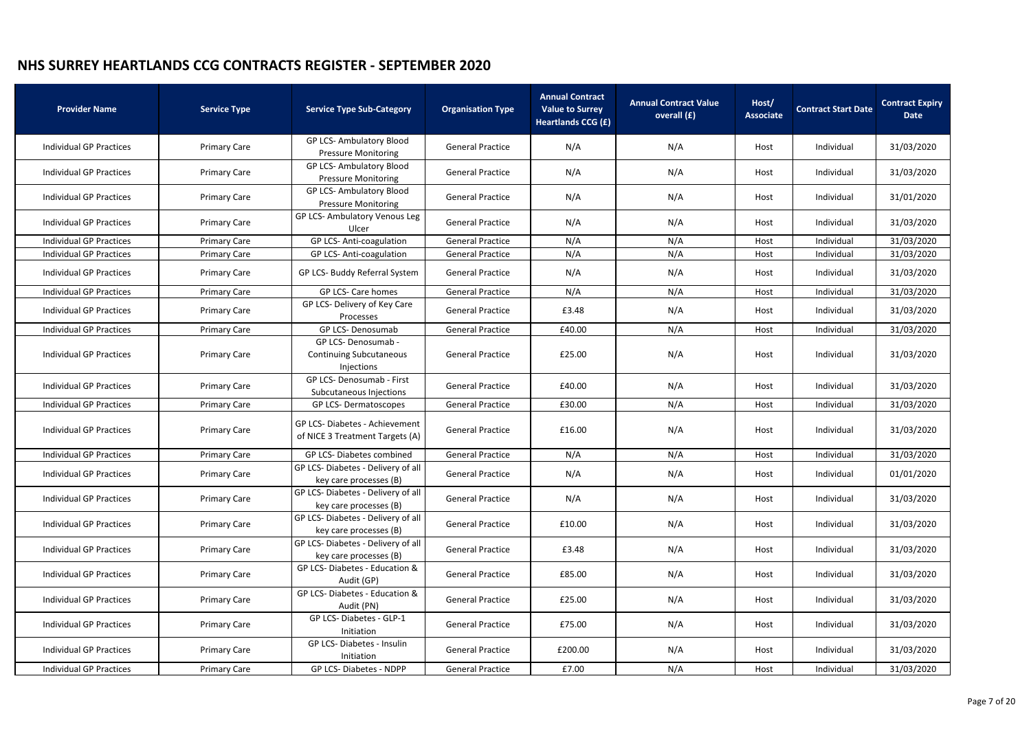| <b>Provider Name</b>           | <b>Service Type</b> | <b>Service Type Sub-Category</b>                                  | <b>Organisation Type</b> | <b>Annual Contract</b><br><b>Value to Surrey</b><br><b>Heartlands CCG (£)</b> | <b>Annual Contract Value</b><br>overall (£) | Host/<br><b>Associate</b> | <b>Contract Start Date</b> | <b>Contract Expiry</b><br>Date |
|--------------------------------|---------------------|-------------------------------------------------------------------|--------------------------|-------------------------------------------------------------------------------|---------------------------------------------|---------------------------|----------------------------|--------------------------------|
| <b>Individual GP Practices</b> | <b>Primary Care</b> | <b>GP LCS-Ambulatory Blood</b><br><b>Pressure Monitoring</b>      | <b>General Practice</b>  | N/A                                                                           | N/A                                         | Host                      | Individual                 | 31/03/2020                     |
| <b>Individual GP Practices</b> | <b>Primary Care</b> | <b>GP LCS-Ambulatory Blood</b><br><b>Pressure Monitoring</b>      | <b>General Practice</b>  | N/A                                                                           | N/A                                         | Host                      | Individual                 | 31/03/2020                     |
| <b>Individual GP Practices</b> | <b>Primary Care</b> | <b>GP LCS-Ambulatory Blood</b><br><b>Pressure Monitoring</b>      | <b>General Practice</b>  | N/A                                                                           | N/A                                         | Host                      | Individual                 | 31/01/2020                     |
| <b>Individual GP Practices</b> | <b>Primary Care</b> | GP LCS- Ambulatory Venous Leg<br>Ulcer                            | <b>General Practice</b>  | N/A                                                                           | N/A                                         | Host                      | Individual                 | 31/03/2020                     |
| <b>Individual GP Practices</b> | <b>Primary Care</b> | GP LCS- Anti-coagulation                                          | <b>General Practice</b>  | N/A                                                                           | N/A                                         | Host                      | Individual                 | 31/03/2020                     |
| <b>Individual GP Practices</b> | <b>Primary Care</b> | GP LCS- Anti-coagulation                                          | <b>General Practice</b>  | N/A                                                                           | N/A                                         | Host                      | Individual                 | 31/03/2020                     |
| <b>Individual GP Practices</b> | <b>Primary Care</b> | GP LCS- Buddy Referral System                                     | <b>General Practice</b>  | N/A                                                                           | N/A                                         | Host                      | Individual                 | 31/03/2020                     |
| <b>Individual GP Practices</b> | <b>Primary Care</b> | GP LCS- Care homes                                                | <b>General Practice</b>  | N/A                                                                           | N/A                                         | Host                      | Individual                 | 31/03/2020                     |
| <b>Individual GP Practices</b> | <b>Primary Care</b> | GP LCS- Delivery of Key Care<br>Processes                         | <b>General Practice</b>  | £3.48                                                                         | N/A                                         | Host                      | Individual                 | 31/03/2020                     |
| <b>Individual GP Practices</b> | <b>Primary Care</b> | GP LCS- Denosumab                                                 | <b>General Practice</b>  | £40.00                                                                        | N/A                                         | Host                      | Individual                 | 31/03/2020                     |
| <b>Individual GP Practices</b> | <b>Primary Care</b> | GP LCS- Denosumab -<br>Continuing Subcutaneous<br>Injections      | <b>General Practice</b>  | £25.00                                                                        | N/A                                         | Host                      | Individual                 | 31/03/2020                     |
| <b>Individual GP Practices</b> | <b>Primary Care</b> | GP LCS- Denosumab - First<br>Subcutaneous Injections              | <b>General Practice</b>  | £40.00                                                                        | N/A                                         | Host                      | Individual                 | 31/03/2020                     |
| <b>Individual GP Practices</b> | <b>Primary Care</b> | GP LCS-Dermatoscopes                                              | <b>General Practice</b>  | £30.00                                                                        | N/A                                         | Host                      | Individual                 | 31/03/2020                     |
| <b>Individual GP Practices</b> | <b>Primary Care</b> | GP LCS- Diabetes - Achievement<br>of NICE 3 Treatment Targets (A) | <b>General Practice</b>  | £16.00                                                                        | N/A                                         | Host                      | Individual                 | 31/03/2020                     |
| <b>Individual GP Practices</b> | <b>Primary Care</b> | GP LCS- Diabetes combined                                         | <b>General Practice</b>  | N/A                                                                           | N/A                                         | Host                      | Individual                 | 31/03/2020                     |
| <b>Individual GP Practices</b> | <b>Primary Care</b> | GP LCS-Diabetes - Delivery of all<br>key care processes (B)       | <b>General Practice</b>  | N/A                                                                           | N/A                                         | Host                      | Individual                 | 01/01/2020                     |
| <b>Individual GP Practices</b> | <b>Primary Care</b> | GP LCS-Diabetes - Delivery of all<br>key care processes (B)       | <b>General Practice</b>  | N/A                                                                           | N/A                                         | Host                      | Individual                 | 31/03/2020                     |
| <b>Individual GP Practices</b> | <b>Primary Care</b> | GP LCS-Diabetes - Delivery of all<br>key care processes (B)       | <b>General Practice</b>  | £10.00                                                                        | N/A                                         | Host                      | Individual                 | 31/03/2020                     |
| <b>Individual GP Practices</b> | <b>Primary Care</b> | GP LCS-Diabetes - Delivery of all<br>key care processes (B)       | <b>General Practice</b>  | £3.48                                                                         | N/A                                         | Host                      | Individual                 | 31/03/2020                     |
| <b>Individual GP Practices</b> | <b>Primary Care</b> | GP LCS-Diabetes - Education &<br>Audit (GP)                       | <b>General Practice</b>  | £85.00                                                                        | N/A                                         | Host                      | Individual                 | 31/03/2020                     |
| <b>Individual GP Practices</b> | <b>Primary Care</b> | GP LCS- Diabetes - Education &<br>Audit (PN)                      | <b>General Practice</b>  | £25.00                                                                        | N/A                                         | Host                      | Individual                 | 31/03/2020                     |
| <b>Individual GP Practices</b> | <b>Primary Care</b> | GP LCS-Diabetes - GLP-1<br>Initiation                             | <b>General Practice</b>  | £75.00                                                                        | N/A                                         | Host                      | Individual                 | 31/03/2020                     |
| <b>Individual GP Practices</b> | <b>Primary Care</b> | GP LCS-Diabetes - Insulin<br>Initiation                           | <b>General Practice</b>  | £200.00                                                                       | N/A                                         | Host                      | Individual                 | 31/03/2020                     |
| <b>Individual GP Practices</b> | <b>Primary Care</b> | GP LCS-Diabetes - NDPP                                            | <b>General Practice</b>  | £7.00                                                                         | N/A                                         | Host                      | Individual                 | 31/03/2020                     |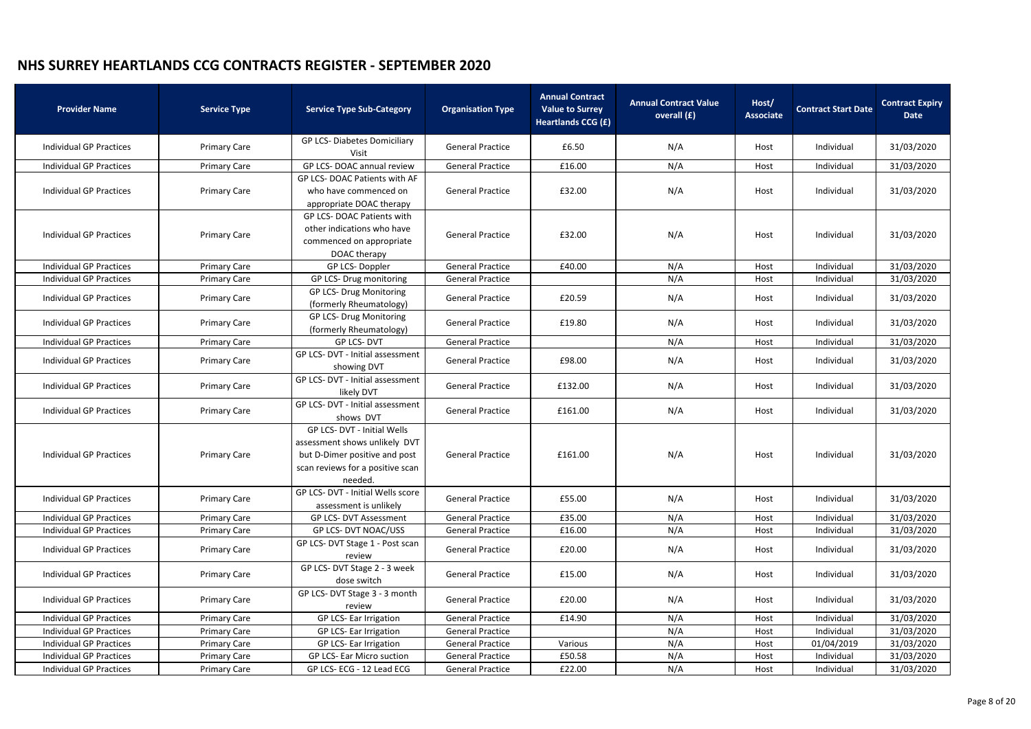| GP LCS- Diabetes Domiciliary<br><b>General Practice</b><br>N/A<br>31/03/2020<br><b>Individual GP Practices</b><br><b>Primary Care</b><br>£6.50<br>Individual<br>Host<br>Visit<br>N/A<br>Individual<br>31/03/2020<br><b>Individual GP Practices</b><br><b>Primary Care</b><br>GP LCS-DOAC annual review<br><b>General Practice</b><br>£16.00<br>Host<br>GP LCS-DOAC Patients with AF<br>N/A<br>31/03/2020<br><b>Individual GP Practices</b><br><b>Primary Care</b><br><b>General Practice</b><br>£32.00<br>Individual<br>who have commenced on<br>Host<br>appropriate DOAC therapy<br><b>GP LCS-DOAC Patients with</b> |
|-----------------------------------------------------------------------------------------------------------------------------------------------------------------------------------------------------------------------------------------------------------------------------------------------------------------------------------------------------------------------------------------------------------------------------------------------------------------------------------------------------------------------------------------------------------------------------------------------------------------------|
|                                                                                                                                                                                                                                                                                                                                                                                                                                                                                                                                                                                                                       |
|                                                                                                                                                                                                                                                                                                                                                                                                                                                                                                                                                                                                                       |
|                                                                                                                                                                                                                                                                                                                                                                                                                                                                                                                                                                                                                       |
|                                                                                                                                                                                                                                                                                                                                                                                                                                                                                                                                                                                                                       |
| other indications who have<br>£32.00<br>N/A<br>31/03/2020<br><b>Individual GP Practices</b><br><b>Primary Care</b><br><b>General Practice</b><br>Individual<br>Host<br>commenced on appropriate<br>DOAC therapy                                                                                                                                                                                                                                                                                                                                                                                                       |
| N/A<br>Individual<br>31/03/2020<br><b>Individual GP Practices</b><br>GP LCS-Doppler<br><b>General Practice</b><br>£40.00<br><b>Primary Care</b><br>Host                                                                                                                                                                                                                                                                                                                                                                                                                                                               |
| N/A<br>31/03/2020<br><b>Individual GP Practices</b><br>GP LCS- Drug monitoring<br><b>General Practice</b><br>Individual<br><b>Primary Care</b><br>Host                                                                                                                                                                                                                                                                                                                                                                                                                                                                |
| <b>GP LCS- Drug Monitoring</b><br>£20.59<br>N/A<br>31/03/2020<br><b>Individual GP Practices</b><br><b>Primary Care</b><br><b>General Practice</b><br>Individual<br>Host<br>(formerly Rheumatology)                                                                                                                                                                                                                                                                                                                                                                                                                    |
| <b>GP LCS- Drug Monitoring</b><br>N/A<br>31/03/2020<br><b>Individual GP Practices</b><br><b>General Practice</b><br>£19.80<br>Individual<br><b>Primary Care</b><br>Host<br>(formerly Rheumatology)                                                                                                                                                                                                                                                                                                                                                                                                                    |
| <b>GP LCS-DVT</b><br>N/A<br>Individual<br>31/03/2020<br><b>Individual GP Practices</b><br><b>General Practice</b><br><b>Primary Care</b><br>Host                                                                                                                                                                                                                                                                                                                                                                                                                                                                      |
| GP LCS- DVT - Initial assessment<br>N/A<br>£98.00<br>31/03/2020<br><b>Individual GP Practices</b><br><b>Primary Care</b><br><b>General Practice</b><br>Individual<br>Host<br>showing DVT                                                                                                                                                                                                                                                                                                                                                                                                                              |
| GP LCS- DVT - Initial assessment<br>N/A<br>31/03/2020<br><b>Individual GP Practices</b><br><b>Primary Care</b><br><b>General Practice</b><br>£132.00<br>Individual<br>Host<br>likely DVT                                                                                                                                                                                                                                                                                                                                                                                                                              |
| GP LCS- DVT - Initial assessment<br>N/A<br>31/03/2020<br><b>Individual GP Practices</b><br><b>Primary Care</b><br><b>General Practice</b><br>£161.00<br>Individual<br>Host<br>shows DVT                                                                                                                                                                                                                                                                                                                                                                                                                               |
| GP LCS- DVT - Initial Wells<br>assessment shows unlikely DVT<br><b>Individual GP Practices</b><br>but D-Dimer positive and post<br>£161.00<br>N/A<br>Individual<br>31/03/2020<br><b>Primary Care</b><br><b>General Practice</b><br>Host<br>scan reviews for a positive scan<br>needed.                                                                                                                                                                                                                                                                                                                                |
| GP LCS- DVT - Initial Wells score<br>N/A<br>31/03/2020<br><b>Individual GP Practices</b><br><b>Primary Care</b><br><b>General Practice</b><br>£55.00<br>Individual<br>Host<br>assessment is unlikely                                                                                                                                                                                                                                                                                                                                                                                                                  |
| 31/03/2020<br>Individual<br><b>Individual GP Practices</b><br><b>Primary Care</b><br>GP LCS- DVT Assessment<br><b>General Practice</b><br>£35.00<br>N/A<br>Host                                                                                                                                                                                                                                                                                                                                                                                                                                                       |
| <b>GP LCS- DVT NOAC/USS</b><br>N/A<br>31/03/2020<br><b>Individual GP Practices</b><br><b>Primary Care</b><br><b>General Practice</b><br>£16.00<br>Host<br>Individual                                                                                                                                                                                                                                                                                                                                                                                                                                                  |
| GP LCS- DVT Stage 1 - Post scan<br>N/A<br>31/03/2020<br><b>Individual GP Practices</b><br><b>Primary Care</b><br><b>General Practice</b><br>£20.00<br>Individual<br>Host<br>review                                                                                                                                                                                                                                                                                                                                                                                                                                    |
| GP LCS- DVT Stage 2 - 3 week<br>N/A<br>31/03/2020<br><b>Individual GP Practices</b><br><b>Primary Care</b><br><b>General Practice</b><br>£15.00<br>Individual<br>Host<br>dose switch                                                                                                                                                                                                                                                                                                                                                                                                                                  |
| GP LCS- DVT Stage 3 - 3 month<br>£20.00<br>N/A<br>31/03/2020<br><b>Individual GP Practices</b><br><b>Primary Care</b><br><b>General Practice</b><br>Individual<br>Host<br>review                                                                                                                                                                                                                                                                                                                                                                                                                                      |
| <b>Individual GP Practices</b><br>GP LCS- Ear Irrigation<br><b>General Practice</b><br>£14.90<br>N/A<br>Individual<br>31/03/2020<br><b>Primary Care</b><br>Host                                                                                                                                                                                                                                                                                                                                                                                                                                                       |
| N/A<br>31/03/2020<br><b>Individual GP Practices</b><br><b>Primary Care</b><br>GP LCS- Ear Irrigation<br><b>General Practice</b><br>Individual<br>Host                                                                                                                                                                                                                                                                                                                                                                                                                                                                 |
| N/A<br><b>Individual GP Practices</b><br><b>General Practice</b><br>01/04/2019<br>31/03/2020<br><b>Primary Care</b><br>GP LCS- Ear Irrigation<br>Various<br>Host                                                                                                                                                                                                                                                                                                                                                                                                                                                      |
| N/A<br><b>Individual GP Practices</b><br>£50.58<br>31/03/2020<br><b>Primary Care</b><br><b>GP LCS- Ear Micro suction</b><br><b>General Practice</b><br>Individual<br>Host                                                                                                                                                                                                                                                                                                                                                                                                                                             |
| GP LCS-ECG - 12 Lead ECG<br>£22.00<br>N/A<br>31/03/2020<br><b>Individual GP Practices</b><br><b>General Practice</b><br>Individual<br><b>Primary Care</b><br>Host                                                                                                                                                                                                                                                                                                                                                                                                                                                     |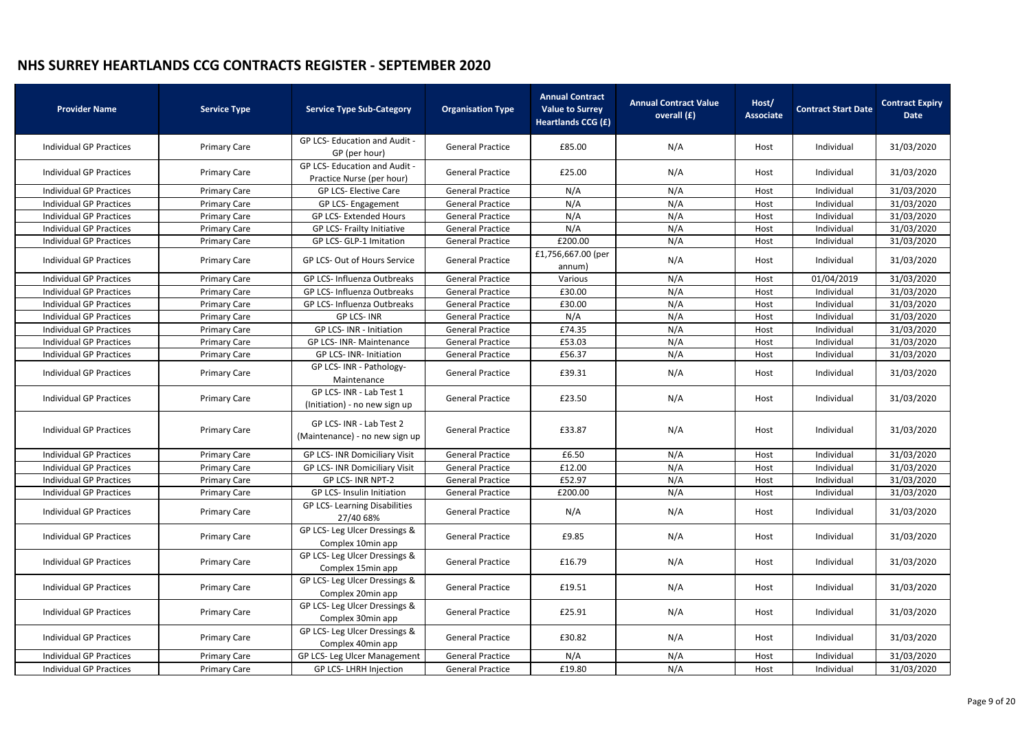| <b>Provider Name</b>           | <b>Service Type</b> | <b>Service Type Sub-Category</b>                           | <b>Organisation Type</b> | <b>Annual Contract</b><br><b>Value to Surrey</b><br><b>Heartlands CCG (£)</b> | <b>Annual Contract Value</b><br>overall (£) | Host/<br><b>Associate</b> | <b>Contract Start Date</b> | <b>Contract Expiry</b><br><b>Date</b> |
|--------------------------------|---------------------|------------------------------------------------------------|--------------------------|-------------------------------------------------------------------------------|---------------------------------------------|---------------------------|----------------------------|---------------------------------------|
| <b>Individual GP Practices</b> | <b>Primary Care</b> | <b>GP LCS-Education and Audit -</b><br>GP (per hour)       | <b>General Practice</b>  | £85.00                                                                        | N/A                                         | Host                      | Individual                 | 31/03/2020                            |
| Individual GP Practices        | <b>Primary Care</b> | GP LCS- Education and Audit -<br>Practice Nurse (per hour) | <b>General Practice</b>  | £25.00                                                                        | N/A                                         | Host                      | Individual                 | 31/03/2020                            |
| <b>Individual GP Practices</b> | <b>Primary Care</b> | <b>GP LCS- Elective Care</b>                               | <b>General Practice</b>  | N/A                                                                           | N/A                                         | Host                      | Individual                 | 31/03/2020                            |
| <b>Individual GP Practices</b> | <b>Primary Care</b> | GP LCS- Engagement                                         | <b>General Practice</b>  | N/A                                                                           | N/A                                         | Host                      | Individual                 | 31/03/2020                            |
| Individual GP Practices        | <b>Primary Care</b> | <b>GP LCS- Extended Hours</b>                              | <b>General Practice</b>  | N/A                                                                           | N/A                                         | Host                      | Individual                 | 31/03/2020                            |
| <b>Individual GP Practices</b> | <b>Primary Care</b> | GP LCS- Frailty Initiative                                 | <b>General Practice</b>  | N/A                                                                           | N/A                                         | Host                      | Individual                 | 31/03/2020                            |
| <b>Individual GP Practices</b> | <b>Primary Care</b> | GP LCS- GLP-1 Imitation                                    | <b>General Practice</b>  | £200.00                                                                       | N/A                                         | Host                      | Individual                 | 31/03/2020                            |
| <b>Individual GP Practices</b> | <b>Primary Care</b> | GP LCS- Out of Hours Service                               | <b>General Practice</b>  | £1,756,667.00 (per<br>annum)                                                  | N/A                                         | Host                      | Individual                 | 31/03/2020                            |
| <b>Individual GP Practices</b> | <b>Primary Care</b> | GP LCS- Influenza Outbreaks                                | <b>General Practice</b>  | Various                                                                       | N/A                                         | Host                      | 01/04/2019                 | 31/03/2020                            |
| <b>Individual GP Practices</b> | <b>Primary Care</b> | GP LCS- Influenza Outbreaks                                | <b>General Practice</b>  | £30.00                                                                        | N/A                                         | Host                      | Individual                 | 31/03/2020                            |
| <b>Individual GP Practices</b> | <b>Primary Care</b> | GP LCS- Influenza Outbreaks                                | <b>General Practice</b>  | £30.00                                                                        | N/A                                         | Host                      | Individual                 | 31/03/2020                            |
| <b>Individual GP Practices</b> | <b>Primary Care</b> | <b>GP LCS-INR</b>                                          | <b>General Practice</b>  | N/A                                                                           | N/A                                         | Host                      | Individual                 | 31/03/2020                            |
| <b>Individual GP Practices</b> | <b>Primary Care</b> | GP LCS-INR - Initiation                                    | <b>General Practice</b>  | £74.35                                                                        | N/A                                         | Host                      | Individual                 | 31/03/2020                            |
| <b>Individual GP Practices</b> | <b>Primary Care</b> | GP LCS- INR- Maintenance                                   | <b>General Practice</b>  | £53.03                                                                        | N/A                                         | Host                      | Individual                 | 31/03/2020                            |
| <b>Individual GP Practices</b> | <b>Primary Care</b> | <b>GP LCS-INR-Initiation</b>                               | <b>General Practice</b>  | £56.37                                                                        | N/A                                         | Host                      | Individual                 | 31/03/2020                            |
| <b>Individual GP Practices</b> | <b>Primary Care</b> | GP LCS- INR - Pathology-<br>Maintenance                    | <b>General Practice</b>  | £39.31                                                                        | N/A                                         | Host                      | Individual                 | 31/03/2020                            |
| Individual GP Practices        | <b>Primary Care</b> | GP LCS- INR - Lab Test 1<br>(Initiation) - no new sign up  | <b>General Practice</b>  | £23.50                                                                        | N/A                                         | Host                      | Individual                 | 31/03/2020                            |
| <b>Individual GP Practices</b> | <b>Primary Care</b> | GP LCS- INR - Lab Test 2<br>(Maintenance) - no new sign up | <b>General Practice</b>  | £33.87                                                                        | N/A                                         | Host                      | Individual                 | 31/03/2020                            |
| <b>Individual GP Practices</b> | <b>Primary Care</b> | <b>GP LCS-INR Domiciliary Visit</b>                        | <b>General Practice</b>  | £6.50                                                                         | N/A                                         | Host                      | Individual                 | 31/03/2020                            |
| <b>Individual GP Practices</b> | <b>Primary Care</b> | <b>GP LCS-INR Domiciliary Visit</b>                        | <b>General Practice</b>  | £12.00                                                                        | N/A                                         | Host                      | Individual                 | 31/03/2020                            |
| <b>Individual GP Practices</b> | <b>Primary Care</b> | GP LCS- INR NPT-2                                          | <b>General Practice</b>  | £52.97                                                                        | N/A                                         | Host                      | Individual                 | 31/03/2020                            |
| <b>Individual GP Practices</b> | <b>Primary Care</b> | <b>GP LCS-Insulin Initiation</b>                           | <b>General Practice</b>  | £200.00                                                                       | N/A                                         | Host                      | Individual                 | 31/03/2020                            |
| <b>Individual GP Practices</b> | <b>Primary Care</b> | <b>GP LCS-Learning Disabilities</b><br>27/40 68%           | <b>General Practice</b>  | N/A                                                                           | N/A                                         | Host                      | Individual                 | 31/03/2020                            |
| <b>Individual GP Practices</b> | <b>Primary Care</b> | GP LCS- Leg Ulcer Dressings &<br>Complex 10min app         | <b>General Practice</b>  | £9.85                                                                         | N/A                                         | Host                      | Individual                 | 31/03/2020                            |
| <b>Individual GP Practices</b> | <b>Primary Care</b> | GP LCS- Leg Ulcer Dressings &<br>Complex 15min app         | <b>General Practice</b>  | £16.79                                                                        | N/A                                         | Host                      | Individual                 | 31/03/2020                            |
| <b>Individual GP Practices</b> | <b>Primary Care</b> | GP LCS- Leg Ulcer Dressings &<br>Complex 20min app         | <b>General Practice</b>  | £19.51                                                                        | N/A                                         | Host                      | Individual                 | 31/03/2020                            |
| Individual GP Practices        | <b>Primary Care</b> | GP LCS- Leg Ulcer Dressings &<br>Complex 30min app         | <b>General Practice</b>  | £25.91                                                                        | N/A                                         | Host                      | Individual                 | 31/03/2020                            |
| Individual GP Practices        | <b>Primary Care</b> | GP LCS- Leg Ulcer Dressings &<br>Complex 40min app         | <b>General Practice</b>  | £30.82                                                                        | N/A                                         | Host                      | Individual                 | 31/03/2020                            |
| <b>Individual GP Practices</b> | <b>Primary Care</b> | GP LCS- Leg Ulcer Management                               | <b>General Practice</b>  | N/A                                                                           | N/A                                         | Host                      | Individual                 | 31/03/2020                            |
| <b>Individual GP Practices</b> | <b>Primary Care</b> | GP LCS-LHRH Injection                                      | <b>General Practice</b>  | £19.80                                                                        | N/A                                         | Host                      | Individual                 | 31/03/2020                            |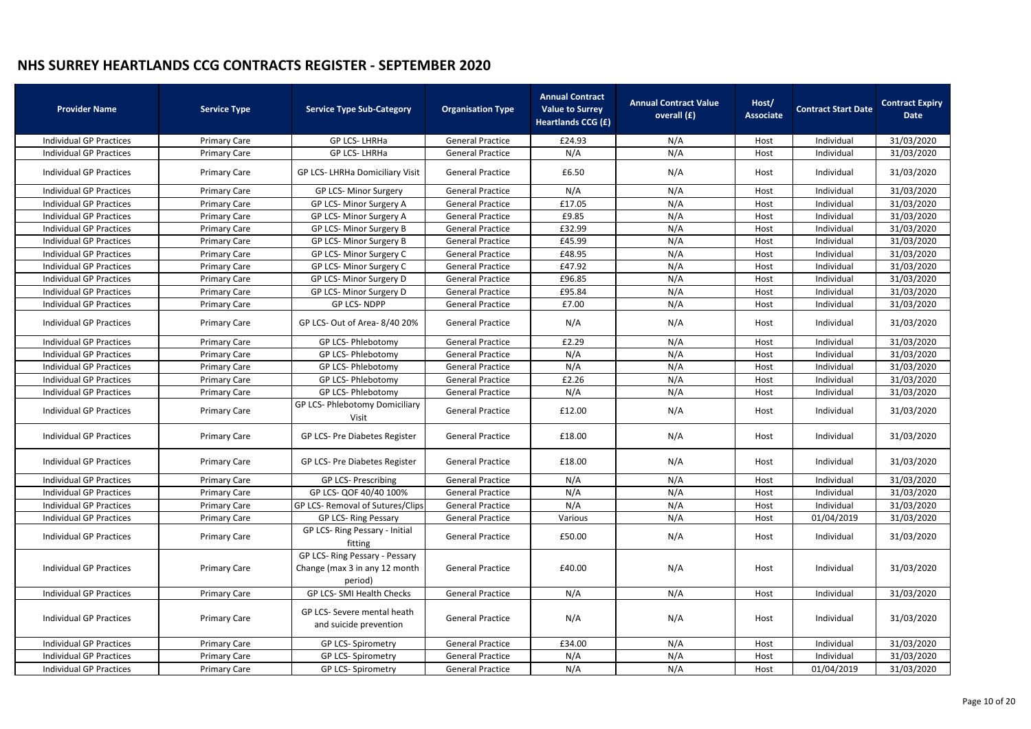| <b>Provider Name</b>           | <b>Service Type</b> | <b>Service Type Sub-Category</b>                                           | <b>Organisation Type</b> | <b>Annual Contract</b><br><b>Value to Surrey</b><br><b>Heartlands CCG (£)</b> | <b>Annual Contract Value</b><br>overall (£) | Host/<br><b>Associate</b> | <b>Contract Start Date</b> | <b>Contract Expiry</b><br><b>Date</b> |
|--------------------------------|---------------------|----------------------------------------------------------------------------|--------------------------|-------------------------------------------------------------------------------|---------------------------------------------|---------------------------|----------------------------|---------------------------------------|
| <b>Individual GP Practices</b> | <b>Primary Care</b> | <b>GP LCS-LHRHa</b>                                                        | <b>General Practice</b>  | £24.93                                                                        | N/A                                         | Host                      | Individual                 | 31/03/2020                            |
| <b>Individual GP Practices</b> | <b>Primary Care</b> | GP LCS-LHRHa                                                               | <b>General Practice</b>  | N/A                                                                           | N/A                                         | Host                      | Individual                 | 31/03/2020                            |
| Individual GP Practices        | <b>Primary Care</b> | GP LCS- LHRHa Domiciliary Visit                                            | <b>General Practice</b>  | £6.50                                                                         | N/A                                         | Host                      | Individual                 | 31/03/2020                            |
| <b>Individual GP Practices</b> | <b>Primary Care</b> | GP LCS- Minor Surgery                                                      | <b>General Practice</b>  | N/A                                                                           | N/A                                         | Host                      | Individual                 | 31/03/2020                            |
| <b>Individual GP Practices</b> | <b>Primary Care</b> | GP LCS- Minor Surgery A                                                    | <b>General Practice</b>  | £17.05                                                                        | N/A                                         | Host                      | Individual                 | 31/03/2020                            |
| Individual GP Practices        | <b>Primary Care</b> | GP LCS- Minor Surgery A                                                    | <b>General Practice</b>  | £9.85                                                                         | N/A                                         | Host                      | Individual                 | 31/03/2020                            |
| <b>Individual GP Practices</b> | <b>Primary Care</b> | GP LCS- Minor Surgery B                                                    | <b>General Practice</b>  | £32.99                                                                        | N/A                                         | Host                      | Individual                 | 31/03/2020                            |
| <b>Individual GP Practices</b> | <b>Primary Care</b> | GP LCS- Minor Surgery B                                                    | <b>General Practice</b>  | £45.99                                                                        | N/A                                         | Host                      | Individual                 | 31/03/2020                            |
| <b>Individual GP Practices</b> | <b>Primary Care</b> | GP LCS- Minor Surgery C                                                    | <b>General Practice</b>  | £48.95                                                                        | N/A                                         | Host                      | Individual                 | 31/03/2020                            |
| <b>Individual GP Practices</b> | <b>Primary Care</b> | GP LCS- Minor Surgery C                                                    | <b>General Practice</b>  | £47.92                                                                        | N/A                                         | Host                      | Individual                 | 31/03/2020                            |
| <b>Individual GP Practices</b> | <b>Primary Care</b> | GP LCS- Minor Surgery D                                                    | <b>General Practice</b>  | £96.85                                                                        | N/A                                         | Host                      | Individual                 | 31/03/2020                            |
| <b>Individual GP Practices</b> | <b>Primary Care</b> | GP LCS- Minor Surgery D                                                    | <b>General Practice</b>  | £95.84                                                                        | N/A                                         | Host                      | Individual                 | 31/03/2020                            |
| <b>Individual GP Practices</b> | <b>Primary Care</b> | <b>GP LCS-NDPP</b>                                                         | <b>General Practice</b>  | £7.00                                                                         | N/A                                         | Host                      | Individual                 | 31/03/2020                            |
| Individual GP Practices        | <b>Primary Care</b> | GP LCS- Out of Area-8/40 20%                                               | <b>General Practice</b>  | N/A                                                                           | N/A                                         | Host                      | Individual                 | 31/03/2020                            |
| <b>Individual GP Practices</b> | <b>Primary Care</b> | GP LCS- Phlebotomy                                                         | <b>General Practice</b>  | £2.29                                                                         | N/A                                         | Host                      | Individual                 | 31/03/2020                            |
| <b>Individual GP Practices</b> | <b>Primary Care</b> | GP LCS- Phlebotomy                                                         | <b>General Practice</b>  | N/A                                                                           | N/A                                         | Host                      | Individual                 | 31/03/2020                            |
| <b>Individual GP Practices</b> | <b>Primary Care</b> | GP LCS- Phlebotomy                                                         | <b>General Practice</b>  | N/A                                                                           | N/A                                         | Host                      | Individual                 | 31/03/2020                            |
| <b>Individual GP Practices</b> | <b>Primary Care</b> | GP LCS- Phlebotomy                                                         | <b>General Practice</b>  | £2.26                                                                         | N/A                                         | Host                      | Individual                 | 31/03/2020                            |
| <b>Individual GP Practices</b> | <b>Primary Care</b> | GP LCS- Phlebotomy                                                         | <b>General Practice</b>  | N/A                                                                           | N/A                                         | Host                      | Individual                 | 31/03/2020                            |
| <b>Individual GP Practices</b> | <b>Primary Care</b> | <b>GP LCS- Phlebotomy Domiciliary</b><br>Visit                             | <b>General Practice</b>  | £12.00                                                                        | N/A                                         | Host                      | Individual                 | 31/03/2020                            |
| <b>Individual GP Practices</b> | <b>Primary Care</b> | GP LCS- Pre Diabetes Register                                              | <b>General Practice</b>  | £18.00                                                                        | N/A                                         | Host                      | Individual                 | 31/03/2020                            |
| Individual GP Practices        | <b>Primary Care</b> | GP LCS- Pre Diabetes Register                                              | <b>General Practice</b>  | £18.00                                                                        | N/A                                         | Host                      | Individual                 | 31/03/2020                            |
| <b>Individual GP Practices</b> | <b>Primary Care</b> | <b>GP LCS- Prescribing</b>                                                 | <b>General Practice</b>  | N/A                                                                           | N/A                                         | Host                      | Individual                 | 31/03/2020                            |
| <b>Individual GP Practices</b> | <b>Primary Care</b> | GP LCS- QOF 40/40 100%                                                     | <b>General Practice</b>  | N/A                                                                           | N/A                                         | Host                      | Individual                 | 31/03/2020                            |
| <b>Individual GP Practices</b> | <b>Primary Care</b> | GP LCS- Removal of Sutures/Clips                                           | <b>General Practice</b>  | N/A                                                                           | N/A                                         | Host                      | Individual                 | 31/03/2020                            |
| <b>Individual GP Practices</b> | <b>Primary Care</b> | GP LCS-Ring Pessary                                                        | <b>General Practice</b>  | Various                                                                       | N/A                                         | Host                      | 01/04/2019                 | 31/03/2020                            |
| <b>Individual GP Practices</b> | <b>Primary Care</b> | GP LCS- Ring Pessary - Initial<br>fitting                                  | <b>General Practice</b>  | £50.00                                                                        | N/A                                         | Host                      | Individual                 | 31/03/2020                            |
| <b>Individual GP Practices</b> | <b>Primary Care</b> | GP LCS- Ring Pessary - Pessary<br>Change (max 3 in any 12 month<br>period) | <b>General Practice</b>  | £40.00                                                                        | N/A                                         | Host                      | Individual                 | 31/03/2020                            |
| <b>Individual GP Practices</b> | <b>Primary Care</b> | GP LCS- SMI Health Checks                                                  | <b>General Practice</b>  | N/A                                                                           | N/A                                         | Host                      | Individual                 | 31/03/2020                            |
| <b>Individual GP Practices</b> | <b>Primary Care</b> | GP LCS- Severe mental heath<br>and suicide prevention                      | <b>General Practice</b>  | N/A                                                                           | N/A                                         | Host                      | Individual                 | 31/03/2020                            |
| <b>Individual GP Practices</b> | <b>Primary Care</b> | <b>GP LCS- Spirometry</b>                                                  | <b>General Practice</b>  | £34.00                                                                        | N/A                                         | Host                      | Individual                 | 31/03/2020                            |
| <b>Individual GP Practices</b> | <b>Primary Care</b> | <b>GP LCS- Spirometry</b>                                                  | <b>General Practice</b>  | N/A                                                                           | N/A                                         | Host                      | Individual                 | 31/03/2020                            |
| <b>Individual GP Practices</b> | <b>Primary Care</b> | <b>GP LCS- Spirometry</b>                                                  | <b>General Practice</b>  | N/A                                                                           | N/A                                         | Host                      | 01/04/2019                 | 31/03/2020                            |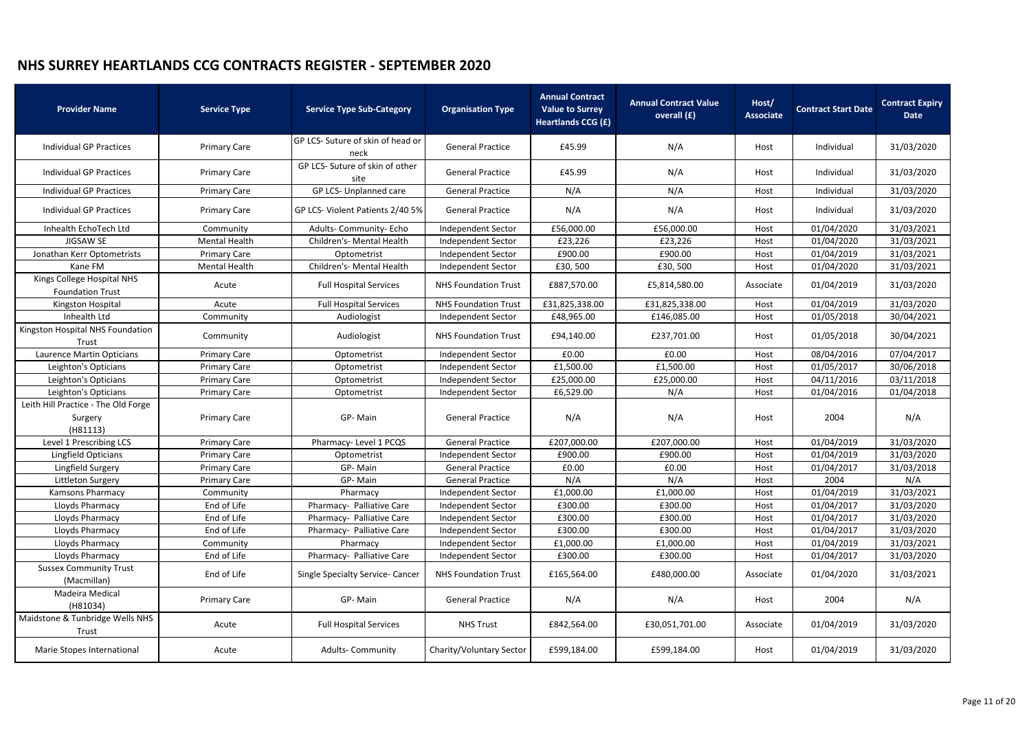| <b>Provider Name</b>                                       | <b>Service Type</b>  | <b>Service Type Sub-Category</b>          | <b>Organisation Type</b>    | <b>Annual Contract</b><br><b>Value to Surrey</b><br><b>Heartlands CCG (£)</b> | <b>Annual Contract Value</b><br>overall (£) | Host/<br><b>Associate</b> | <b>Contract Start Date</b> | <b>Contract Expiry</b><br><b>Date</b> |
|------------------------------------------------------------|----------------------|-------------------------------------------|-----------------------------|-------------------------------------------------------------------------------|---------------------------------------------|---------------------------|----------------------------|---------------------------------------|
| <b>Individual GP Practices</b>                             | <b>Primary Care</b>  | GP LCS- Suture of skin of head or<br>neck | <b>General Practice</b>     | £45.99                                                                        | N/A                                         | Host                      | Individual                 | 31/03/2020                            |
| <b>Individual GP Practices</b>                             | <b>Primary Care</b>  | GP LCS- Suture of skin of other<br>site   | <b>General Practice</b>     | £45.99                                                                        | N/A                                         | Host                      | Individual                 | 31/03/2020                            |
| <b>Individual GP Practices</b>                             | <b>Primary Care</b>  | GP LCS- Unplanned care                    | <b>General Practice</b>     | N/A                                                                           | N/A                                         | Host                      | Individual                 | 31/03/2020                            |
| <b>Individual GP Practices</b>                             | <b>Primary Care</b>  | GP LCS- Violent Patients 2/40 5%          | <b>General Practice</b>     | N/A                                                                           | N/A                                         | Host                      | Individual                 | 31/03/2020                            |
| Inhealth EchoTech Ltd                                      | Community            | Adults- Community- Echo                   | <b>Independent Sector</b>   | £56,000.00                                                                    | £56,000.00                                  | Host                      | 01/04/2020                 | 31/03/2021                            |
| JIGSAW SE                                                  | <b>Mental Health</b> | Children's- Mental Health                 | Independent Sector          | £23,226                                                                       | £23,226                                     | Host                      | 01/04/2020                 | 31/03/2021                            |
| Jonathan Kerr Optometrists                                 | <b>Primary Care</b>  | Optometrist                               | Independent Sector          | £900.00                                                                       | £900.00                                     | Host                      | 01/04/2019                 | 31/03/2021                            |
| Kane FM                                                    | <b>Mental Health</b> | Children's- Mental Health                 | <b>Independent Sector</b>   | £30,500                                                                       | £30,500                                     | Host                      | 01/04/2020                 | 31/03/2021                            |
| Kings College Hospital NHS<br><b>Foundation Trust</b>      | Acute                | <b>Full Hospital Services</b>             | <b>NHS Foundation Trust</b> | £887,570.00                                                                   | £5,814,580.00                               | Associate                 | 01/04/2019                 | 31/03/2020                            |
| Kingston Hospital                                          | Acute                | <b>Full Hospital Services</b>             | <b>NHS Foundation Trust</b> | £31,825,338.00                                                                | £31,825,338.00                              | Host                      | 01/04/2019                 | 31/03/2020                            |
| Inhealth Ltd                                               | Community            | Audiologist                               | Independent Sector          | £48,965.00                                                                    | £146,085.00                                 | Host                      | 01/05/2018                 | 30/04/2021                            |
| Kingston Hospital NHS Foundation<br>Trust                  | Community            | Audiologist                               | <b>NHS Foundation Trust</b> | £94,140.00                                                                    | £237,701.00                                 | Host                      | 01/05/2018                 | 30/04/2021                            |
| Laurence Martin Opticians                                  | <b>Primary Care</b>  | Optometrist                               | Independent Sector          | £0.00                                                                         | £0.00                                       | Host                      | 08/04/2016                 | 07/04/2017                            |
| Leighton's Opticians                                       | <b>Primary Care</b>  | Optometrist                               | Independent Sector          | £1,500.00                                                                     | £1,500.00                                   | Host                      | 01/05/2017                 | 30/06/2018                            |
| Leighton's Opticians                                       | <b>Primary Care</b>  | Optometrist                               | Independent Sector          | £25,000.00                                                                    | £25,000.00                                  | Host                      | 04/11/2016                 | 03/11/2018                            |
| Leighton's Opticians                                       | <b>Primary Care</b>  | Optometrist                               | Independent Sector          | £6,529.00                                                                     | N/A                                         | Host                      | 01/04/2016                 | 01/04/2018                            |
| Leith Hill Practice - The Old Forge<br>Surgery<br>(H81113) | <b>Primary Care</b>  | GP-Main                                   | <b>General Practice</b>     | N/A                                                                           | N/A                                         | Host                      | 2004                       | N/A                                   |
| Level 1 Prescribing LCS                                    | <b>Primary Care</b>  | Pharmacy-Level 1 PCQS                     | <b>General Practice</b>     | £207,000.00                                                                   | £207,000.00                                 | Host                      | 01/04/2019                 | 31/03/2020                            |
| Lingfield Opticians                                        | <b>Primary Care</b>  | Optometrist                               | <b>Independent Sector</b>   | £900.00                                                                       | £900.00                                     | Host                      | 01/04/2019                 | 31/03/2020                            |
| Lingfield Surgery                                          | <b>Primary Care</b>  | GP-Main                                   | <b>General Practice</b>     | £0.00                                                                         | £0.00                                       | Host                      | 01/04/2017                 | 31/03/2018                            |
| Littleton Surgery                                          | <b>Primary Care</b>  | GP-Main                                   | <b>General Practice</b>     | N/A                                                                           | N/A                                         | Host                      | 2004                       | N/A                                   |
| <b>Kamsons Pharmacy</b>                                    | Community            | Pharmacy                                  | Independent Sector          | £1,000.00                                                                     | £1,000.00                                   | Host                      | 01/04/2019                 | 31/03/2021                            |
| Lloyds Pharmacy                                            | End of Life          | Pharmacy- Palliative Care                 | Independent Sector          | £300.00                                                                       | £300.00                                     | Host                      | 01/04/2017                 | 31/03/2020                            |
| Lloyds Pharmacy                                            | End of Life          | Pharmacy- Palliative Care                 | Independent Sector          | £300.00                                                                       | £300.00                                     | Host                      | 01/04/2017                 | 31/03/2020                            |
| Lloyds Pharmacy                                            | End of Life          | Pharmacy- Palliative Care                 | Independent Sector          | £300.00                                                                       | £300.00                                     | Host                      | 01/04/2017                 | 31/03/2020                            |
| Lloyds Pharmacy                                            | Community            | Pharmacy                                  | Independent Sector          | £1,000.00                                                                     | £1,000.00                                   | Host                      | 01/04/2019                 | 31/03/2021                            |
| Lloyds Pharmacy                                            | End of Life          | Pharmacy- Palliative Care                 | Independent Sector          | £300.00                                                                       | £300.00                                     | Host                      | 01/04/2017                 | 31/03/2020                            |
| <b>Sussex Community Trust</b><br>(Macmillan)               | End of Life          | <b>Single Specialty Service- Cancer</b>   | <b>NHS Foundation Trust</b> | £165,564.00                                                                   | £480,000.00                                 | Associate                 | 01/04/2020                 | 31/03/2021                            |
| Madeira Medical<br>(H81034)                                | <b>Primary Care</b>  | GP-Main                                   | <b>General Practice</b>     | N/A                                                                           | N/A                                         | Host                      | 2004                       | N/A                                   |
| Maidstone & Tunbridge Wells NHS<br>Trust                   | Acute                | <b>Full Hospital Services</b>             | <b>NHS Trust</b>            | £842,564.00                                                                   | £30,051,701.00                              | Associate                 | 01/04/2019                 | 31/03/2020                            |
| Marie Stopes International                                 | Acute                | <b>Adults-Community</b>                   | Charity/Voluntary Sector    | £599,184.00                                                                   | £599,184.00                                 | Host                      | 01/04/2019                 | 31/03/2020                            |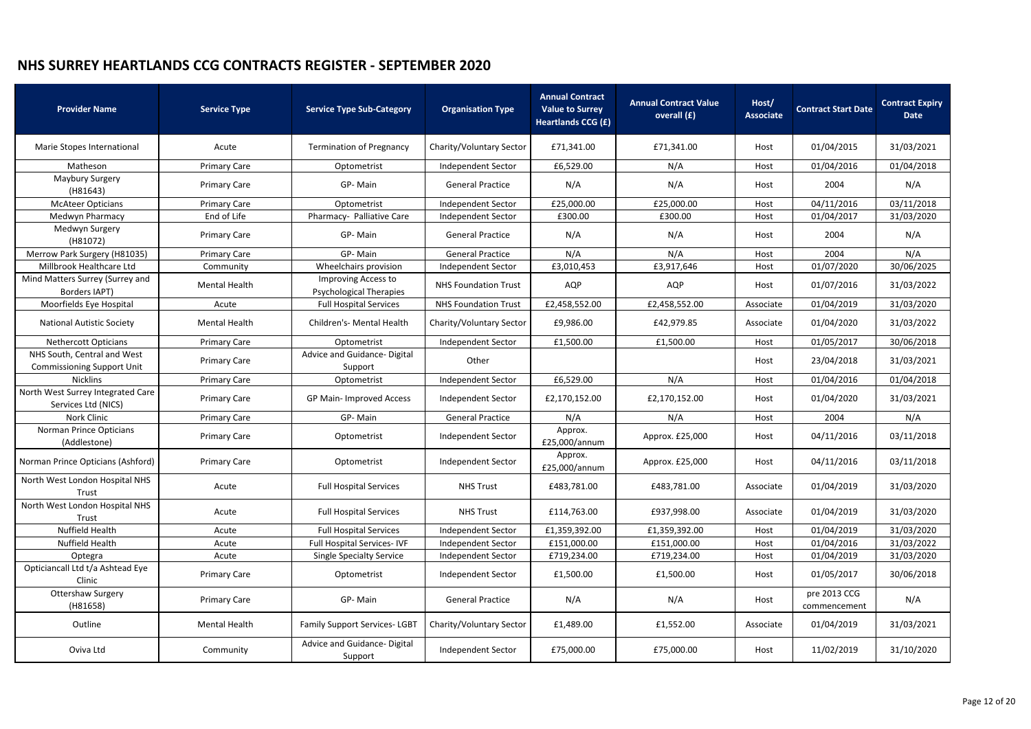| <b>Provider Name</b>                                             | <b>Service Type</b>  | <b>Service Type Sub-Category</b>                      | <b>Organisation Type</b>    | <b>Annual Contract</b><br><b>Value to Surrey</b><br><b>Heartlands CCG (£)</b> | <b>Annual Contract Value</b><br>overall (£) | Host/<br><b>Associate</b> | <b>Contract Start Date</b>   | <b>Contract Expiry</b><br><b>Date</b> |
|------------------------------------------------------------------|----------------------|-------------------------------------------------------|-----------------------------|-------------------------------------------------------------------------------|---------------------------------------------|---------------------------|------------------------------|---------------------------------------|
| Marie Stopes International                                       | Acute                | <b>Termination of Pregnancy</b>                       | Charity/Voluntary Sector    | £71,341.00                                                                    | £71,341.00                                  | Host                      | 01/04/2015                   | 31/03/2021                            |
| Matheson                                                         | <b>Primary Care</b>  | Optometrist                                           | Independent Sector          | £6,529.00                                                                     | N/A                                         | Host                      | 01/04/2016                   | 01/04/2018                            |
| Maybury Surgery<br>(H81643)                                      | <b>Primary Care</b>  | GP-Main                                               | <b>General Practice</b>     | N/A                                                                           | N/A                                         | Host                      | 2004                         | N/A                                   |
| <b>McAteer Opticians</b>                                         | <b>Primary Care</b>  | Optometrist                                           | Independent Sector          | £25,000.00                                                                    | £25,000.00                                  | Host                      | 04/11/2016                   | 03/11/2018                            |
| Medwyn Pharmacy                                                  | End of Life          | Pharmacy- Palliative Care                             | Independent Sector          | £300.00                                                                       | £300.00                                     | Host                      | 01/04/2017                   | 31/03/2020                            |
| Medwyn Surgery<br>(H81072)                                       | <b>Primary Care</b>  | GP-Main                                               | <b>General Practice</b>     | N/A                                                                           | N/A                                         | Host                      | 2004                         | N/A                                   |
| Merrow Park Surgery (H81035)                                     | <b>Primary Care</b>  | GP-Main                                               | <b>General Practice</b>     | N/A                                                                           | N/A                                         | Host                      | 2004                         | N/A                                   |
| Millbrook Healthcare Ltd                                         | Community            | Wheelchairs provision                                 | Independent Sector          | £3,010,453                                                                    | £3,917,646                                  | Host                      | 01/07/2020                   | 30/06/2025                            |
| Mind Matters Surrey (Surrey and<br>Borders IAPT)                 | <b>Mental Health</b> | Improving Access to<br><b>Psychological Therapies</b> | <b>NHS Foundation Trust</b> | <b>AQP</b>                                                                    | AQP                                         | Host                      | 01/07/2016                   | 31/03/2022                            |
| Moorfields Eye Hospital                                          | Acute                | <b>Full Hospital Services</b>                         | <b>NHS Foundation Trust</b> | £2,458,552.00                                                                 | £2,458,552.00                               | Associate                 | 01/04/2019                   | 31/03/2020                            |
| <b>National Autistic Society</b>                                 | <b>Mental Health</b> | Children's- Mental Health                             | Charity/Voluntary Sector    | £9,986.00                                                                     | £42,979.85                                  | Associate                 | 01/04/2020                   | 31/03/2022                            |
| <b>Nethercott Opticians</b>                                      | <b>Primary Care</b>  | Optometrist                                           | Independent Sector          | £1,500.00                                                                     | £1,500.00                                   | Host                      | 01/05/2017                   | 30/06/2018                            |
| NHS South, Central and West<br><b>Commissioning Support Unit</b> | <b>Primary Care</b>  | Advice and Guidance- Digital<br>Support               | Other                       |                                                                               |                                             | Host                      | 23/04/2018                   | 31/03/2021                            |
| <b>Nicklins</b>                                                  | <b>Primary Care</b>  | Optometrist                                           | Independent Sector          | £6,529.00                                                                     | N/A                                         | Host                      | 01/04/2016                   | 01/04/2018                            |
| North West Surrey Integrated Care<br>Services Ltd (NICS)         | <b>Primary Care</b>  | GP Main- Improved Access                              | Independent Sector          | £2,170,152.00                                                                 | £2,170,152.00                               | Host                      | 01/04/2020                   | 31/03/2021                            |
| <b>Nork Clinic</b>                                               | <b>Primary Care</b>  | GP-Main                                               | <b>General Practice</b>     | N/A                                                                           | N/A                                         | Host                      | 2004                         | N/A                                   |
| Norman Prince Opticians<br>(Addlestone)                          | <b>Primary Care</b>  | Optometrist                                           | Independent Sector          | Approx.<br>£25,000/annum                                                      | Approx. £25,000                             | Host                      | 04/11/2016                   | 03/11/2018                            |
| Norman Prince Opticians (Ashford)                                | <b>Primary Care</b>  | Optometrist                                           | Independent Sector          | Approx.<br>£25,000/annum                                                      | Approx. £25,000                             | Host                      | 04/11/2016                   | 03/11/2018                            |
| North West London Hospital NHS<br>Trust                          | Acute                | <b>Full Hospital Services</b>                         | <b>NHS Trust</b>            | £483,781.00                                                                   | £483,781.00                                 | Associate                 | 01/04/2019                   | 31/03/2020                            |
| North West London Hospital NHS<br>Trust                          | Acute                | <b>Full Hospital Services</b>                         | <b>NHS Trust</b>            | £114,763.00                                                                   | £937,998.00                                 | Associate                 | 01/04/2019                   | 31/03/2020                            |
| Nuffield Health                                                  | Acute                | <b>Full Hospital Services</b>                         | Independent Sector          | £1,359,392.00                                                                 | £1,359,392.00                               | Host                      | 01/04/2019                   | 31/03/2020                            |
| Nuffield Health                                                  | Acute                | Full Hospital Services-IVF                            | <b>Independent Sector</b>   | £151,000.00                                                                   | £151,000.00                                 | Host                      | 01/04/2016                   | 31/03/2022                            |
| Optegra                                                          | Acute                | <b>Single Specialty Service</b>                       | Independent Sector          | £719,234.00                                                                   | £719,234.00                                 | Host                      | 01/04/2019                   | 31/03/2020                            |
| Opticiancall Ltd t/a Ashtead Eye<br>Clinic                       | <b>Primary Care</b>  | Optometrist                                           | <b>Independent Sector</b>   | £1,500.00                                                                     | £1,500.00                                   | Host                      | 01/05/2017                   | 30/06/2018                            |
| <b>Ottershaw Surgery</b><br>(H81658)                             | <b>Primary Care</b>  | GP-Main                                               | <b>General Practice</b>     | N/A                                                                           | N/A                                         | Host                      | pre 2013 CCG<br>commencement | N/A                                   |
| Outline                                                          | <b>Mental Health</b> | <b>Family Support Services-LGBT</b>                   | Charity/Voluntary Sector    | £1,489.00                                                                     | £1,552.00                                   | Associate                 | 01/04/2019                   | 31/03/2021                            |
| Oviva Ltd                                                        | Community            | Advice and Guidance-Digital<br>Support                | Independent Sector          | £75,000.00                                                                    | £75,000.00                                  | Host                      | 11/02/2019                   | 31/10/2020                            |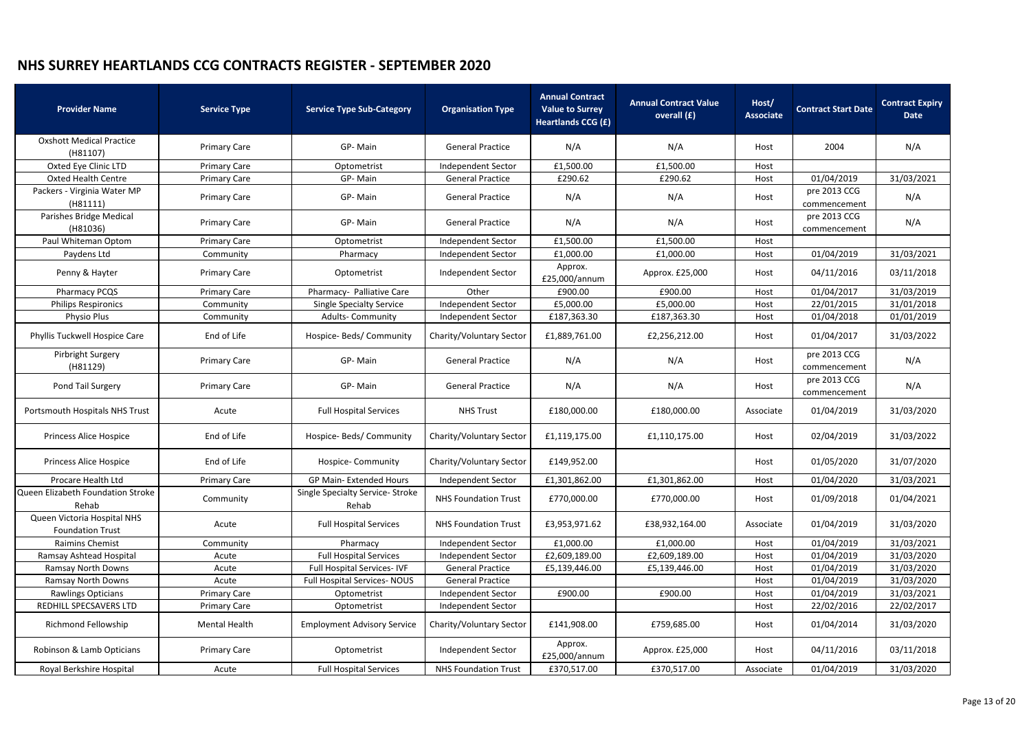| <b>Provider Name</b>                                   | <b>Service Type</b> | <b>Service Type Sub-Category</b>          | <b>Organisation Type</b>    | <b>Annual Contract</b><br><b>Value to Surrey</b><br><b>Heartlands CCG (£)</b> | <b>Annual Contract Value</b><br>overall (£) | Host/<br><b>Associate</b> | <b>Contract Start Date</b>   | <b>Contract Expiry</b><br><b>Date</b> |
|--------------------------------------------------------|---------------------|-------------------------------------------|-----------------------------|-------------------------------------------------------------------------------|---------------------------------------------|---------------------------|------------------------------|---------------------------------------|
| <b>Oxshott Medical Practice</b><br>(H81107)            | <b>Primary Care</b> | GP-Main                                   | <b>General Practice</b>     | N/A                                                                           | N/A                                         | Host                      | 2004                         | N/A                                   |
| Oxted Eye Clinic LTD                                   | <b>Primary Care</b> | Optometrist                               | Independent Sector          | £1,500.00                                                                     | £1,500.00                                   | Host                      |                              |                                       |
| <b>Oxted Health Centre</b>                             | <b>Primary Care</b> | GP-Main                                   | <b>General Practice</b>     | £290.62                                                                       | £290.62                                     | Host                      | 01/04/2019                   | 31/03/2021                            |
| Packers - Virginia Water MP<br>(H81111)                | <b>Primary Care</b> | GP-Main                                   | <b>General Practice</b>     | N/A                                                                           | N/A                                         | Host                      | pre 2013 CCG<br>commencement | N/A                                   |
| Parishes Bridge Medical<br>(H81036)                    | <b>Primary Care</b> | GP-Main                                   | <b>General Practice</b>     | N/A                                                                           | N/A                                         | Host                      | pre 2013 CCG<br>commencement | N/A                                   |
| Paul Whiteman Optom                                    | <b>Primary Care</b> | Optometrist                               | Independent Sector          | £1,500.00                                                                     | £1,500.00                                   | Host                      |                              |                                       |
| Paydens Ltd                                            | Community           | Pharmacy                                  | Independent Sector          | £1,000.00                                                                     | £1,000.00                                   | Host                      | 01/04/2019                   | 31/03/2021                            |
| Penny & Hayter                                         | <b>Primary Care</b> | Optometrist                               | Independent Sector          | Approx.<br>£25,000/annum                                                      | Approx. £25,000                             | Host                      | 04/11/2016                   | 03/11/2018                            |
| Pharmacy PCQS                                          | <b>Primary Care</b> | Pharmacy- Palliative Care                 | Other                       | £900.00                                                                       | £900.00                                     | Host                      | 01/04/2017                   | 31/03/2019                            |
| <b>Philips Respironics</b>                             | Community           | <b>Single Specialty Service</b>           | Independent Sector          | £5,000.00                                                                     | £5,000.00                                   | Host                      | 22/01/2015                   | 31/01/2018                            |
| Physio Plus                                            | Community           | <b>Adults- Community</b>                  | Independent Sector          | £187,363.30                                                                   | £187,363.30                                 | Host                      | 01/04/2018                   | 01/01/2019                            |
| Phyllis Tuckwell Hospice Care                          | End of Life         | Hospice- Beds/ Community                  | Charity/Voluntary Sector    | £1,889,761.00                                                                 | £2,256,212.00                               | Host                      | 01/04/2017                   | 31/03/2022                            |
| Pirbright Surgery<br>(H81129)                          | <b>Primary Care</b> | GP-Main                                   | <b>General Practice</b>     | N/A                                                                           | N/A<br>Host                                 |                           | pre 2013 CCG<br>commencement | N/A                                   |
| Pond Tail Surgery                                      | <b>Primary Care</b> | GP-Main                                   | <b>General Practice</b>     | N/A                                                                           | N/A                                         | Host                      | pre 2013 CCG<br>commencement | N/A                                   |
| Portsmouth Hospitals NHS Trust                         | Acute               | <b>Full Hospital Services</b>             | <b>NHS Trust</b>            | £180,000.00                                                                   | £180,000.00                                 | Associate                 | 01/04/2019                   | 31/03/2020                            |
| <b>Princess Alice Hospice</b>                          | End of Life         | Hospice- Beds/ Community                  | Charity/Voluntary Sector    | £1,119,175.00                                                                 | £1,110,175.00                               | Host                      | 02/04/2019                   | 31/03/2022                            |
| Princess Alice Hospice                                 | End of Life         | <b>Hospice-Community</b>                  | Charity/Voluntary Sector    | £149,952.00                                                                   | Host                                        |                           | 01/05/2020                   | 31/07/2020                            |
| Procare Health Ltd                                     | <b>Primary Care</b> | <b>GP Main-Extended Hours</b>             | Independent Sector          | £1,301,862.00                                                                 | £1,301,862.00                               | Host                      | 01/04/2020                   | 31/03/2021                            |
| Queen Elizabeth Foundation Stroke<br>Rehab             | Community           | Single Specialty Service- Stroke<br>Rehab | <b>NHS Foundation Trust</b> | £770,000.00                                                                   | £770,000.00                                 | Host                      | 01/09/2018                   | 01/04/2021                            |
| Queen Victoria Hospital NHS<br><b>Foundation Trust</b> | Acute               | <b>Full Hospital Services</b>             | <b>NHS Foundation Trust</b> | £3,953,971.62                                                                 | £38,932,164.00                              | Associate                 | 01/04/2019                   | 31/03/2020                            |
| <b>Raimins Chemist</b>                                 | Community           | Pharmacy                                  | <b>Independent Sector</b>   | £1,000.00                                                                     | £1,000.00                                   | Host                      | 01/04/2019                   | 31/03/2021                            |
| Ramsay Ashtead Hospital                                | Acute               | <b>Full Hospital Services</b>             | Independent Sector          | £2,609,189.00                                                                 | £2,609,189.00                               | Host                      | 01/04/2019                   | 31/03/2020                            |
| <b>Ramsay North Downs</b>                              | Acute               | Full Hospital Services-IVF                | <b>General Practice</b>     | £5,139,446.00                                                                 | £5,139,446.00                               | Host                      | 01/04/2019                   | 31/03/2020                            |
| Ramsay North Downs                                     | Acute               | <b>Full Hospital Services- NOUS</b>       | <b>General Practice</b>     |                                                                               |                                             | Host                      | 01/04/2019                   | 31/03/2020                            |
| <b>Rawlings Opticians</b>                              | <b>Primary Care</b> | Optometrist                               | Independent Sector          | £900.00                                                                       | £900.00                                     | Host                      | 01/04/2019                   | 31/03/2021                            |
| REDHILL SPECSAVERS LTD                                 | <b>Primary Care</b> | Optometrist                               | Independent Sector          |                                                                               |                                             | Host                      | 22/02/2016                   | 22/02/2017                            |
| <b>Richmond Fellowship</b>                             | Mental Health       | <b>Employment Advisory Service</b>        | Charity/Voluntary Sector    | £141,908.00                                                                   | £759,685.00                                 | Host                      | 01/04/2014                   | 31/03/2020                            |
| Robinson & Lamb Opticians                              | <b>Primary Care</b> | Optometrist                               | Independent Sector          | Approx.<br>£25,000/annum                                                      | Approx. £25,000                             | Host                      | 04/11/2016                   | 03/11/2018                            |
| Royal Berkshire Hospital                               | Acute               | <b>Full Hospital Services</b>             | <b>NHS Foundation Trust</b> | £370,517.00                                                                   | £370,517.00                                 | Associate                 | 01/04/2019                   | 31/03/2020                            |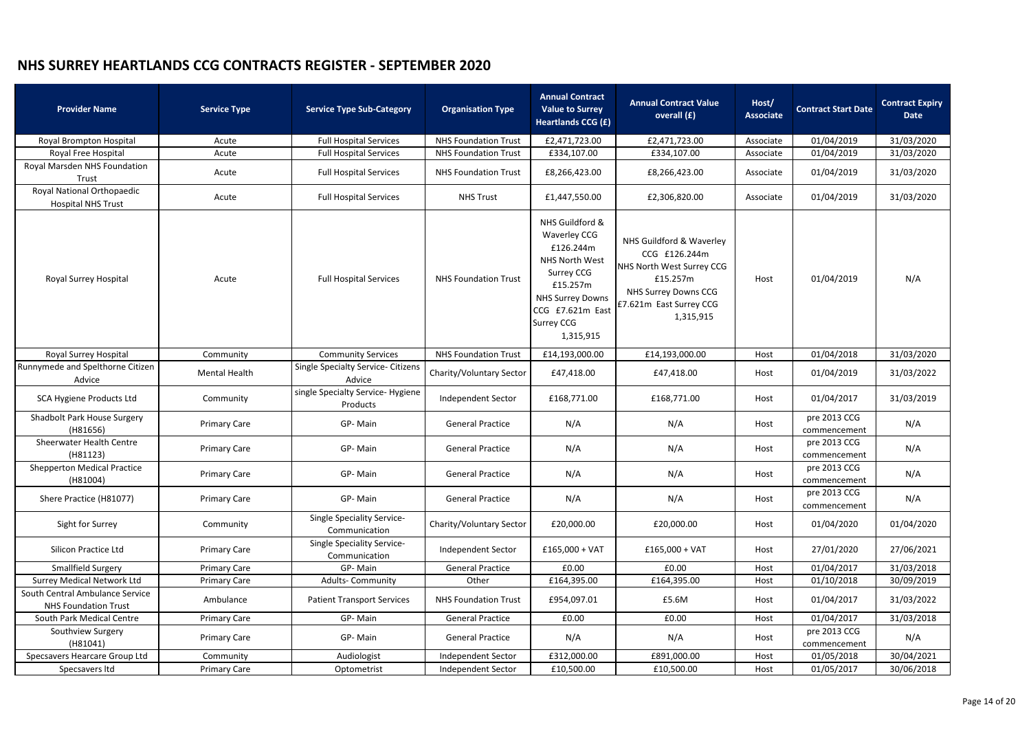| <b>Provider Name</b>                                           | <b>Service Type</b>  | <b>Service Type Sub-Category</b>                    | <b>Organisation Type</b>    | <b>Annual Contract</b><br><b>Value to Surrey</b><br>Heartlands CCG (£)                                                                                                                  | <b>Annual Contract Value</b><br>overall (£)                                                                                                               | Host/<br><b>Associate</b> | <b>Contract Start Date</b>   | <b>Contract Expiry</b><br><b>Date</b> |
|----------------------------------------------------------------|----------------------|-----------------------------------------------------|-----------------------------|-----------------------------------------------------------------------------------------------------------------------------------------------------------------------------------------|-----------------------------------------------------------------------------------------------------------------------------------------------------------|---------------------------|------------------------------|---------------------------------------|
| Royal Brompton Hospital                                        | Acute                | <b>Full Hospital Services</b>                       | <b>NHS Foundation Trust</b> | £2,471,723.00                                                                                                                                                                           | £2,471,723.00                                                                                                                                             | Associate                 | 01/04/2019                   | 31/03/2020                            |
| Royal Free Hospital                                            | Acute                | <b>Full Hospital Services</b>                       | <b>NHS Foundation Trust</b> | £334,107.00                                                                                                                                                                             | £334,107.00                                                                                                                                               | Associate                 | 01/04/2019                   | 31/03/2020                            |
| Royal Marsden NHS Foundation<br>Trust                          | Acute                | <b>Full Hospital Services</b>                       | <b>NHS Foundation Trust</b> | £8,266,423.00                                                                                                                                                                           | £8,266,423.00                                                                                                                                             | Associate                 | 01/04/2019                   | 31/03/2020                            |
| Royal National Orthopaedic<br><b>Hospital NHS Trust</b>        | Acute                | <b>Full Hospital Services</b>                       | <b>NHS Trust</b>            | £1,447,550.00                                                                                                                                                                           | £2,306,820.00                                                                                                                                             | Associate                 | 01/04/2019                   | 31/03/2020                            |
| Royal Surrey Hospital                                          | Acute                | <b>Full Hospital Services</b>                       | <b>NHS Foundation Trust</b> | NHS Guildford &<br><b>Waverley CCG</b><br>£126.244m<br><b>NHS North West</b><br>Surrey CCG<br>£15.257m<br><b>NHS Surrey Downs</b><br>CCG £7.621m East<br><b>Surrey CCG</b><br>1,315,915 | NHS Guildford & Waverley<br>CCG £126.244m<br>NHS North West Surrey CCG<br>£15.257m<br><b>NHS Surrey Downs CCG</b><br>£7.621m East Surrey CCG<br>1,315,915 | Host                      | 01/04/2019                   | N/A                                   |
| Royal Surrey Hospital                                          | Community            | <b>Community Services</b>                           | <b>NHS Foundation Trust</b> | £14,193,000.00                                                                                                                                                                          | £14,193,000.00                                                                                                                                            | Host                      | 01/04/2018                   | 31/03/2020                            |
| Runnymede and Spelthorne Citizen<br>Advice                     | <b>Mental Health</b> | <b>Single Specialty Service- Citizens</b><br>Advice | Charity/Voluntary Sector    | £47,418.00                                                                                                                                                                              | £47,418.00                                                                                                                                                | Host                      | 01/04/2019                   | 31/03/2022                            |
| SCA Hygiene Products Ltd                                       | Community            | single Specialty Service- Hygiene<br>Products       | Independent Sector          | £168,771.00                                                                                                                                                                             | £168,771.00                                                                                                                                               | Host                      | 01/04/2017                   | 31/03/2019                            |
| Shadbolt Park House Surgery<br>(H81656)                        | <b>Primary Care</b>  | GP-Main                                             | <b>General Practice</b>     | N/A                                                                                                                                                                                     | N/A                                                                                                                                                       | Host                      | pre 2013 CCG<br>commencement | N/A                                   |
| <b>Sheerwater Health Centre</b><br>(H81123)                    | <b>Primary Care</b>  | GP-Main                                             | <b>General Practice</b>     | N/A                                                                                                                                                                                     | N/A                                                                                                                                                       | Host                      | pre 2013 CCG<br>commencement | N/A                                   |
| <b>Shepperton Medical Practice</b><br>(H81004)                 | <b>Primary Care</b>  | GP-Main                                             | <b>General Practice</b>     | N/A                                                                                                                                                                                     | N/A                                                                                                                                                       | Host                      | pre 2013 CCG<br>commencement | N/A                                   |
| Shere Practice (H81077)                                        | <b>Primary Care</b>  | GP-Main                                             | <b>General Practice</b>     | N/A                                                                                                                                                                                     | N/A                                                                                                                                                       | Host                      | pre 2013 CCG<br>commencement | N/A                                   |
| Sight for Surrey                                               | Community            | Single Speciality Service-<br>Communication         | Charity/Voluntary Sector    | £20,000.00                                                                                                                                                                              | £20,000.00                                                                                                                                                | Host                      | 01/04/2020                   | 01/04/2020                            |
| Silicon Practice Ltd                                           | <b>Primary Care</b>  | <b>Single Speciality Service-</b><br>Communication  | Independent Sector          | $£165,000 + VAT$                                                                                                                                                                        | $£165,000 + VAT$                                                                                                                                          | Host                      | 27/01/2020                   | 27/06/2021                            |
| Smallfield Surgery                                             | <b>Primary Care</b>  | GP-Main                                             | <b>General Practice</b>     | £0.00                                                                                                                                                                                   | £0.00                                                                                                                                                     | Host                      | 01/04/2017                   | 31/03/2018                            |
| <b>Surrey Medical Network Ltd</b>                              | <b>Primary Care</b>  | <b>Adults-Community</b>                             | Other                       | £164,395.00                                                                                                                                                                             | £164,395.00                                                                                                                                               | Host                      | 01/10/2018                   | 30/09/2019                            |
| South Central Ambulance Service<br><b>NHS Foundation Trust</b> | Ambulance            | <b>Patient Transport Services</b>                   | <b>NHS Foundation Trust</b> | £954,097.01                                                                                                                                                                             | £5.6M                                                                                                                                                     | Host                      | 01/04/2017                   | 31/03/2022                            |
| South Park Medical Centre                                      | <b>Primary Care</b>  | GP-Main                                             | <b>General Practice</b>     | £0.00                                                                                                                                                                                   | £0.00                                                                                                                                                     | Host                      | 01/04/2017                   | 31/03/2018                            |
| Southview Surgery<br>(H81041)                                  | <b>Primary Care</b>  | GP-Main                                             | <b>General Practice</b>     | N/A                                                                                                                                                                                     | N/A                                                                                                                                                       | Host                      | pre 2013 CCG<br>commencement | N/A                                   |
| Specsavers Hearcare Group Ltd                                  | Community            | Audiologist                                         | Independent Sector          | £312,000.00                                                                                                                                                                             | £891,000.00                                                                                                                                               | Host                      | 01/05/2018                   | 30/04/2021                            |
| Specsavers Itd                                                 | <b>Primary Care</b>  | Optometrist                                         | Independent Sector          | £10,500.00                                                                                                                                                                              | £10,500.00                                                                                                                                                | Host                      | 01/05/2017                   | 30/06/2018                            |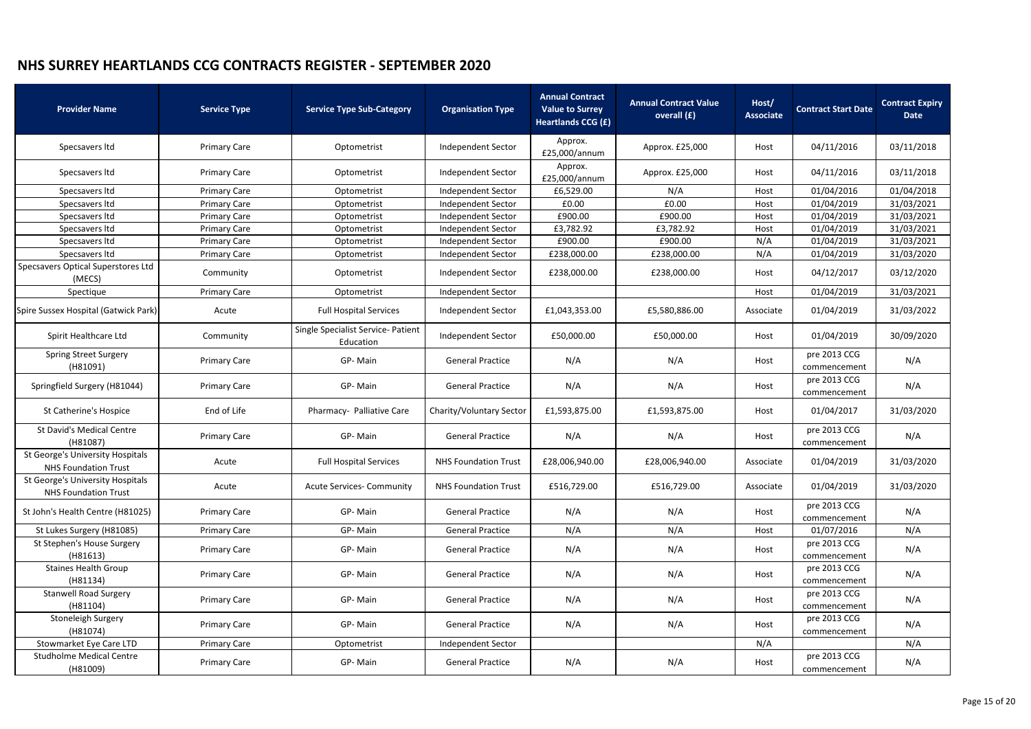| <b>Provider Name</b>                                            | <b>Service Type</b> | <b>Service Type Sub-Category</b>                | <b>Organisation Type</b>    | <b>Annual Contract</b><br><b>Value to Surrey</b><br><b>Heartlands CCG (£)</b> | <b>Annual Contract Value</b><br>overall (£) |           | <b>Contract Start Date</b>   | <b>Contract Expiry</b><br><b>Date</b> |
|-----------------------------------------------------------------|---------------------|-------------------------------------------------|-----------------------------|-------------------------------------------------------------------------------|---------------------------------------------|-----------|------------------------------|---------------------------------------|
| Specsavers Itd                                                  | <b>Primary Care</b> | Optometrist                                     | Independent Sector          | Approx.<br>£25,000/annum                                                      | Approx. £25,000                             | Host      | 04/11/2016                   | 03/11/2018                            |
| Specsavers Itd                                                  | <b>Primary Care</b> | Optometrist                                     | Independent Sector          | Approx.<br>£25,000/annum                                                      | Approx. £25,000                             | Host      | 04/11/2016                   | 03/11/2018                            |
| Specsavers Itd                                                  | <b>Primary Care</b> | Optometrist                                     | <b>Independent Sector</b>   | £6,529.00                                                                     | N/A                                         | Host      | 01/04/2016                   | 01/04/2018                            |
| Specsavers Itd                                                  | <b>Primary Care</b> | Optometrist                                     | <b>Independent Sector</b>   | £0.00                                                                         | £0.00                                       | Host      | 01/04/2019                   | 31/03/2021                            |
| Specsavers Itd                                                  | <b>Primary Care</b> | Optometrist                                     | Independent Sector          | £900.00                                                                       | £900.00                                     | Host      | 01/04/2019                   | 31/03/2021                            |
| Specsavers Itd                                                  | <b>Primary Care</b> | Optometrist                                     | <b>Independent Sector</b>   | £3,782.92                                                                     | £3,782.92                                   | Host      | 01/04/2019                   | 31/03/2021                            |
| Specsavers Itd                                                  | <b>Primary Care</b> | Optometrist                                     | Independent Sector          | £900.00                                                                       | £900.00                                     | N/A       | 01/04/2019                   | 31/03/2021                            |
| Specsavers Itd                                                  | <b>Primary Care</b> | Optometrist                                     | Independent Sector          | £238,000.00                                                                   | £238,000.00                                 | N/A       | 01/04/2019                   | 31/03/2020                            |
| Specsavers Optical Superstores Ltd<br>(MECS)                    | Community           | Optometrist                                     | Independent Sector          | £238,000.00                                                                   | £238,000.00                                 | Host      | 04/12/2017                   | 03/12/2020                            |
| Spectique                                                       | <b>Primary Care</b> | Optometrist                                     | Independent Sector          |                                                                               |                                             | Host      | 01/04/2019                   | 31/03/2021                            |
| Spire Sussex Hospital (Gatwick Park)                            | Acute               | <b>Full Hospital Services</b>                   | <b>Independent Sector</b>   | £1,043,353.00                                                                 | £5,580,886.00<br>Associate                  |           | 01/04/2019                   | 31/03/2022                            |
| Spirit Healthcare Ltd                                           | Community           | Single Specialist Service- Patient<br>Education | Independent Sector          | £50,000.00                                                                    | £50,000.00                                  | Host      | 01/04/2019                   | 30/09/2020                            |
| <b>Spring Street Surgery</b><br>(H81091)                        | <b>Primary Care</b> | GP-Main                                         | <b>General Practice</b>     | N/A                                                                           | N/A                                         | Host      | pre 2013 CCG<br>commencement | N/A                                   |
| Springfield Surgery (H81044)                                    | <b>Primary Care</b> | GP-Main                                         | <b>General Practice</b>     | N/A                                                                           | N/A                                         | Host      | pre 2013 CCG<br>commencement | N/A                                   |
| St Catherine's Hospice                                          | End of Life         | Pharmacy- Palliative Care                       | Charity/Voluntary Sector    | £1,593,875.00                                                                 | £1,593,875.00                               | Host      | 01/04/2017                   | 31/03/2020                            |
| St David's Medical Centre<br>(H81087)                           | <b>Primary Care</b> | GP-Main                                         | <b>General Practice</b>     | N/A                                                                           | N/A                                         | Host      | pre 2013 CCG<br>commencement | N/A                                   |
| St George's University Hospitals<br><b>NHS Foundation Trust</b> | Acute               | <b>Full Hospital Services</b>                   | <b>NHS Foundation Trust</b> | £28,006,940.00                                                                | £28,006,940.00                              | Associate | 01/04/2019                   | 31/03/2020                            |
| St George's University Hospitals<br><b>NHS Foundation Trust</b> | Acute               | <b>Acute Services- Community</b>                | <b>NHS Foundation Trust</b> | £516,729.00                                                                   | £516,729.00                                 | Associate | 01/04/2019                   | 31/03/2020                            |
| St John's Health Centre (H81025)                                | <b>Primary Care</b> | GP-Main                                         | <b>General Practice</b>     | N/A                                                                           | N/A                                         | Host      | pre 2013 CCG<br>commencement | N/A                                   |
| St Lukes Surgery (H81085)                                       | <b>Primary Care</b> | GP-Main                                         | <b>General Practice</b>     | N/A                                                                           | N/A                                         | Host      | 01/07/2016                   | N/A                                   |
| St Stephen's House Surgery<br>(H81613)                          | <b>Primary Care</b> | GP-Main                                         | <b>General Practice</b>     | N/A                                                                           | N/A                                         | Host      | pre 2013 CCG<br>commencement | N/A                                   |
| <b>Staines Health Group</b><br>(H81134)                         | <b>Primary Care</b> | GP-Main                                         | <b>General Practice</b>     | N/A                                                                           | N/A                                         | Host      | pre 2013 CCG<br>commencement | N/A                                   |
| <b>Stanwell Road Surgery</b><br>(H81104)                        | <b>Primary Care</b> | GP-Main                                         | <b>General Practice</b>     | N/A                                                                           | N/A                                         | Host      | pre 2013 CCG<br>commencement | N/A                                   |
| Stoneleigh Surgery<br>(H81074)                                  | <b>Primary Care</b> | GP-Main                                         | <b>General Practice</b>     | N/A                                                                           | N/A                                         | Host      | pre 2013 CCG<br>commencement | N/A                                   |
| Stowmarket Eye Care LTD                                         | <b>Primary Care</b> | Optometrist                                     | Independent Sector          |                                                                               |                                             | N/A       |                              | N/A                                   |
| <b>Studholme Medical Centre</b><br>(H81009)                     | <b>Primary Care</b> | GP-Main                                         | <b>General Practice</b>     | N/A                                                                           | N/A                                         | Host      | pre 2013 CCG<br>commencement | N/A                                   |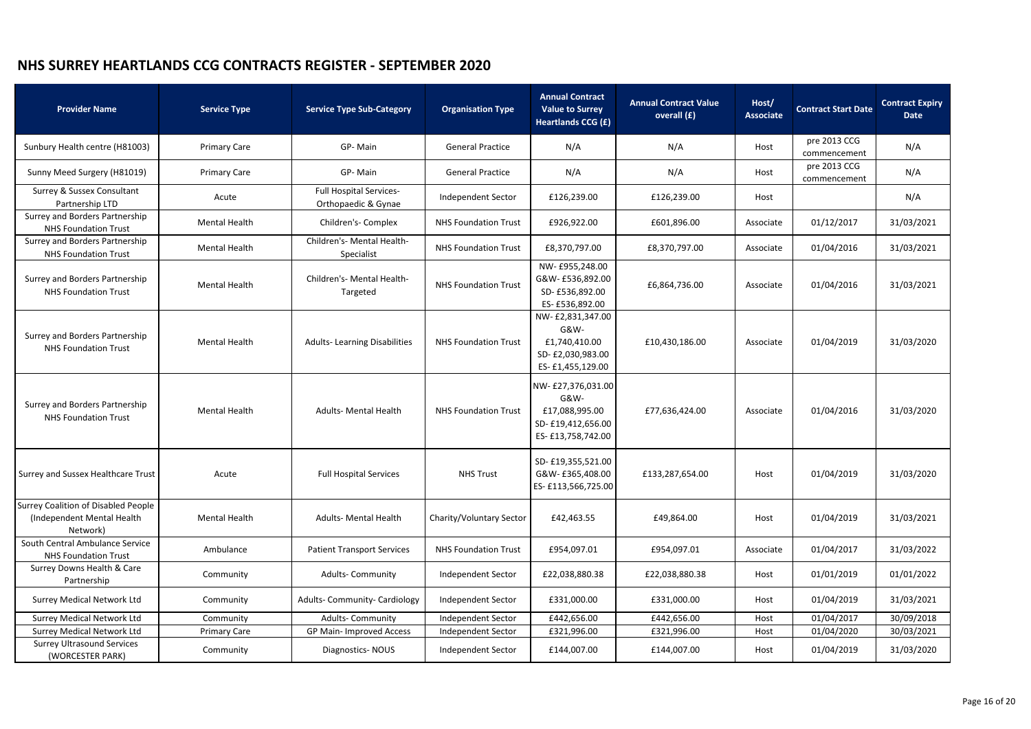| <b>Provider Name</b>                                                                  | <b>Service Type</b>  | <b>Service Type Sub-Category</b>                      | <b>Organisation Type</b>    | <b>Annual Contract</b><br><b>Value to Surrey</b><br>Heartlands CCG (£)                 | <b>Annual Contract Value</b><br>overall (£) | Host/<br><b>Associate</b> | <b>Contract Start Date</b>   | <b>Contract Expiry</b><br><b>Date</b> |
|---------------------------------------------------------------------------------------|----------------------|-------------------------------------------------------|-----------------------------|----------------------------------------------------------------------------------------|---------------------------------------------|---------------------------|------------------------------|---------------------------------------|
| Sunbury Health centre (H81003)                                                        | <b>Primary Care</b>  | GP-Main                                               | <b>General Practice</b>     | N/A                                                                                    | N/A<br>Host                                 |                           | pre 2013 CCG<br>commencement | N/A                                   |
| Sunny Meed Surgery (H81019)                                                           | <b>Primary Care</b>  | GP-Main                                               | <b>General Practice</b>     | N/A                                                                                    | N/A                                         | Host                      | pre 2013 CCG<br>commencement | N/A                                   |
| Surrey & Sussex Consultant<br>Partnership LTD                                         | Acute                | <b>Full Hospital Services-</b><br>Orthopaedic & Gynae | Independent Sector          | £126,239.00                                                                            | £126,239.00                                 | Host                      |                              | N/A                                   |
| Surrey and Borders Partnership<br><b>NHS Foundation Trust</b>                         | <b>Mental Health</b> | Children's- Complex                                   | <b>NHS Foundation Trust</b> | £926,922.00                                                                            | £601,896.00                                 | Associate                 | 01/12/2017                   | 31/03/2021                            |
| Surrey and Borders Partnership<br><b>NHS Foundation Trust</b>                         | <b>Mental Health</b> | Children's- Mental Health-<br>Specialist              | <b>NHS Foundation Trust</b> | £8,370,797.00                                                                          | £8,370,797.00                               | Associate                 | 01/04/2016                   | 31/03/2021                            |
| Surrey and Borders Partnership<br><b>NHS Foundation Trust</b>                         | <b>Mental Health</b> | Children's- Mental Health-<br>Targeted                | <b>NHS Foundation Trust</b> | NW- £955,248.00<br>G&W- £536,892.00<br>SD-£536,892.00<br>ES- £536,892.00               | £6,864,736.00<br>Associate                  |                           | 01/04/2016                   | 31/03/2021                            |
| Surrey and Borders Partnership<br><b>NHS Foundation Trust</b>                         | <b>Mental Health</b> | <b>Adults-Learning Disabilities</b>                   | <b>NHS Foundation Trust</b> | NW-£2,831,347.00<br>G&W-<br>£1,740,410.00<br>SD-£2,030,983.00<br>ES-£1,455,129.00      | £10,430,186.00                              | Associate                 | 01/04/2019                   | 31/03/2020                            |
| Surrey and Borders Partnership<br><b>NHS Foundation Trust</b>                         | <b>Mental Health</b> | <b>Adults- Mental Health</b>                          | <b>NHS Foundation Trust</b> | NW- £27,376,031.00<br>G&W-<br>£17,088,995.00<br>SD-£19,412,656.00<br>ES-£13,758,742.00 | £77,636,424.00                              | Associate                 |                              | 31/03/2020                            |
| Surrey and Sussex Healthcare Trust                                                    | Acute                | <b>Full Hospital Services</b>                         | <b>NHS Trust</b>            | SD-£19,355,521.00<br>G&W- £365,408.00<br>ES- £113,566,725.00                           | £133,287,654.00<br>Host                     |                           | 01/04/2019                   | 31/03/2020                            |
| <b>Surrey Coalition of Disabled People</b><br>(Independent Mental Health)<br>Network) | <b>Mental Health</b> | <b>Adults- Mental Health</b>                          | Charity/Voluntary Sector    | £42,463.55                                                                             | £49,864.00                                  | Host                      | 01/04/2019                   | 31/03/2021                            |
| South Central Ambulance Service<br><b>NHS Foundation Trust</b>                        | Ambulance            | <b>Patient Transport Services</b>                     | <b>NHS Foundation Trust</b> | £954,097.01                                                                            | £954,097.01                                 | Associate                 | 01/04/2017                   | 31/03/2022                            |
| Surrey Downs Health & Care<br>Partnership                                             | Community            | <b>Adults- Community</b>                              | Independent Sector          | £22,038,880.38                                                                         | £22,038,880.38<br>Host                      |                           | 01/01/2019                   | 01/01/2022                            |
| <b>Surrey Medical Network Ltd</b>                                                     | Community            | <b>Adults- Community- Cardiology</b>                  | Independent Sector          | £331,000.00                                                                            | £331,000.00                                 | Host                      | 01/04/2019                   | 31/03/2021                            |
| <b>Surrey Medical Network Ltd</b>                                                     | Community            | <b>Adults- Community</b>                              | Independent Sector          | £442,656.00                                                                            | £442,656.00                                 | Host                      | 01/04/2017                   | 30/09/2018                            |
| <b>Surrey Medical Network Ltd</b>                                                     | <b>Primary Care</b>  | GP Main- Improved Access                              | Independent Sector          | £321,996.00                                                                            | £321,996.00                                 | Host                      | 01/04/2020                   | 30/03/2021                            |
| <b>Surrey Ultrasound Services</b><br>(WORCESTER PARK)                                 | Community            | Diagnostics-NOUS                                      | Independent Sector          | £144,007.00                                                                            | £144,007.00                                 | Host                      | 01/04/2019                   | 31/03/2020                            |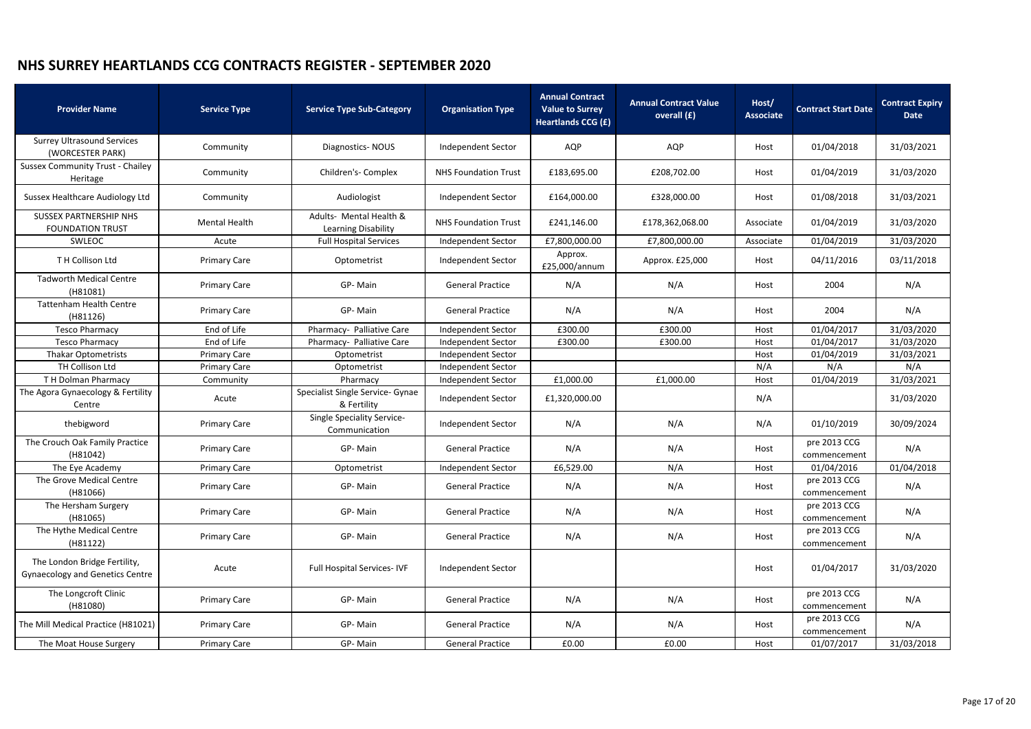| <b>Provider Name</b>                                                   | <b>Service Type</b>  | <b>Service Type Sub-Category</b>                | <b>Organisation Type</b>    | <b>Annual Contract</b><br><b>Value to Surrey</b><br>Heartlands CCG (£) | <b>Annual Contract Value</b><br>overall (£) | Host/<br><b>Associate</b> | <b>Contract Start Date</b>   | <b>Contract Expiry</b><br><b>Date</b> |
|------------------------------------------------------------------------|----------------------|-------------------------------------------------|-----------------------------|------------------------------------------------------------------------|---------------------------------------------|---------------------------|------------------------------|---------------------------------------|
| <b>Surrey Ultrasound Services</b><br>(WORCESTER PARK)                  | Community            | Diagnostics-NOUS                                | Independent Sector          | AQP                                                                    | AQP                                         | Host                      | 01/04/2018                   | 31/03/2021                            |
| <b>Sussex Community Trust - Chailey</b><br>Heritage                    | Community            | Children's- Complex                             | <b>NHS Foundation Trust</b> | £183,695.00                                                            | £208,702.00                                 | Host                      | 01/04/2019                   | 31/03/2020                            |
| Sussex Healthcare Audiology Ltd                                        | Community            | Audiologist                                     | Independent Sector          | £164,000.00                                                            | £328,000.00                                 | Host                      | 01/08/2018                   | 31/03/2021                            |
| <b>SUSSEX PARTNERSHIP NHS</b><br><b>FOUNDATION TRUST</b>               | <b>Mental Health</b> | Adults- Mental Health &<br>Learning Disability  | <b>NHS Foundation Trust</b> | £241,146.00                                                            | £178,362,068.00                             | Associate                 | 01/04/2019                   | 31/03/2020                            |
| SWLEOC                                                                 | Acute                | <b>Full Hospital Services</b>                   | Independent Sector          | £7,800,000.00                                                          | £7,800,000.00                               | Associate                 | 01/04/2019                   | 31/03/2020                            |
| TH Collison Ltd                                                        | <b>Primary Care</b>  | Optometrist                                     | <b>Independent Sector</b>   | Approx.<br>£25,000/annum                                               | Approx. £25,000                             | Host                      | 04/11/2016                   | 03/11/2018                            |
| <b>Tadworth Medical Centre</b><br>(H81081)                             | <b>Primary Care</b>  | GP-Main                                         | <b>General Practice</b>     | N/A                                                                    | N/A                                         | Host                      | 2004                         | N/A                                   |
| <b>Tattenham Health Centre</b><br>(H81126)                             | <b>Primary Care</b>  | GP-Main                                         | <b>General Practice</b>     | N/A                                                                    | N/A                                         | Host                      | 2004                         | N/A                                   |
| <b>Tesco Pharmacy</b>                                                  | End of Life          | Pharmacy- Palliative Care                       | Independent Sector          | £300.00                                                                | £300.00                                     | Host                      | 01/04/2017                   | 31/03/2020                            |
| <b>Tesco Pharmacy</b>                                                  | End of Life          | Pharmacy- Palliative Care                       | Independent Sector          | £300.00                                                                | £300.00                                     | Host                      | 01/04/2017                   | 31/03/2020                            |
| <b>Thakar Optometrists</b>                                             | <b>Primary Care</b>  | Optometrist                                     | Independent Sector          |                                                                        |                                             | Host                      | 01/04/2019                   | 31/03/2021                            |
| TH Collison Ltd                                                        | <b>Primary Care</b>  | Optometrist                                     | Independent Sector          |                                                                        |                                             | N/A                       | N/A                          | N/A                                   |
| TH Dolman Pharmacy                                                     | Community            | Pharmacy                                        | Independent Sector          | £1,000.00                                                              | £1,000.00                                   | Host                      | 01/04/2019                   | 31/03/2021                            |
| The Agora Gynaecology & Fertility<br>Centre                            | Acute                | Specialist Single Service- Gynae<br>& Fertility | Independent Sector          | £1,320,000.00                                                          |                                             | N/A                       |                              | 31/03/2020                            |
| thebigword                                                             | <b>Primary Care</b>  | Single Speciality Service-<br>Communication     | Independent Sector          | N/A                                                                    | N/A                                         | N/A                       | 01/10/2019                   | 30/09/2024                            |
| The Crouch Oak Family Practice<br>(H81042)                             | <b>Primary Care</b>  | GP-Main                                         | <b>General Practice</b>     | N/A                                                                    | N/A                                         | Host                      | pre 2013 CCG<br>commencement | N/A                                   |
| The Eye Academy                                                        | <b>Primary Care</b>  | Optometrist                                     | Independent Sector          | £6,529.00                                                              | N/A                                         | Host                      | 01/04/2016                   | 01/04/2018                            |
| The Grove Medical Centre<br>(H81066)                                   | <b>Primary Care</b>  | GP-Main                                         | <b>General Practice</b>     | N/A                                                                    | N/A                                         | Host                      | pre 2013 CCG<br>commencement | N/A                                   |
| The Hersham Surgery<br>(H81065)                                        | <b>Primary Care</b>  | GP-Main                                         | <b>General Practice</b>     | N/A                                                                    | N/A                                         | Host                      | pre 2013 CCG<br>commencement | N/A                                   |
| The Hythe Medical Centre<br>(H81122)                                   | <b>Primary Care</b>  | GP-Main                                         | <b>General Practice</b>     | N/A                                                                    | N/A                                         | Host                      | pre 2013 CCG<br>commencement | N/A                                   |
| The London Bridge Fertility,<br><b>Gynaecology and Genetics Centre</b> | Acute                | <b>Full Hospital Services-IVF</b>               | Independent Sector          |                                                                        |                                             | Host                      | 01/04/2017                   | 31/03/2020                            |
| The Longcroft Clinic<br>(H81080)                                       | <b>Primary Care</b>  | GP-Main                                         | <b>General Practice</b>     | N/A                                                                    | N/A                                         | Host                      | pre 2013 CCG<br>commencement | N/A                                   |
| The Mill Medical Practice (H81021)                                     | <b>Primary Care</b>  | GP-Main                                         | <b>General Practice</b>     | N/A                                                                    | N/A                                         | Host                      | pre 2013 CCG<br>commencement | N/A                                   |
| The Moat House Surgery                                                 | <b>Primary Care</b>  | GP-Main                                         | <b>General Practice</b>     | £0.00                                                                  | £0.00                                       | Host                      | 01/07/2017                   | 31/03/2018                            |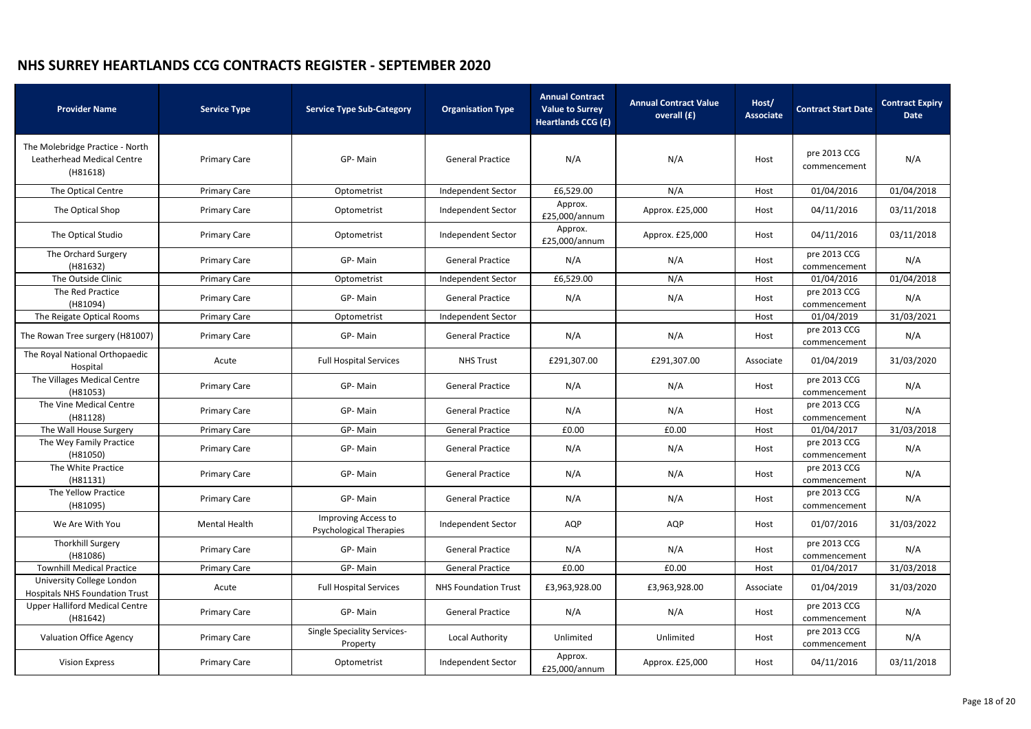| <b>Provider Name</b>                                                      | <b>Service Type</b>  | <b>Service Type Sub-Category</b>                      | <b>Organisation Type</b>    | <b>Annual Contract</b><br><b>Value to Surrey</b><br><b>Heartlands CCG (£)</b> | <b>Annual Contract Value</b><br>overall (£) | Host/<br><b>Associate</b> | <b>Contract Start Date</b>   | <b>Contract Expiry</b><br><b>Date</b> |
|---------------------------------------------------------------------------|----------------------|-------------------------------------------------------|-----------------------------|-------------------------------------------------------------------------------|---------------------------------------------|---------------------------|------------------------------|---------------------------------------|
| The Molebridge Practice - North<br>Leatherhead Medical Centre<br>(H81618) | <b>Primary Care</b>  | GP-Main                                               | <b>General Practice</b>     | N/A                                                                           | N/A                                         | Host                      | pre 2013 CCG<br>commencement | N/A                                   |
| The Optical Centre                                                        | <b>Primary Care</b>  | Optometrist                                           | Independent Sector          | £6,529.00                                                                     | N/A                                         | Host                      | 01/04/2016                   | 01/04/2018                            |
| The Optical Shop                                                          | <b>Primary Care</b>  | Optometrist                                           | Independent Sector          | Approx.<br>£25,000/annum                                                      | Approx. £25,000                             | Host                      | 04/11/2016                   | 03/11/2018                            |
| The Optical Studio                                                        | <b>Primary Care</b>  | Optometrist                                           | Independent Sector          | Approx.<br>£25,000/annum                                                      | Approx. £25,000                             | Host                      | 04/11/2016                   | 03/11/2018                            |
| The Orchard Surgery<br>(H81632)                                           | <b>Primary Care</b>  | GP-Main                                               | <b>General Practice</b>     | N/A                                                                           | N/A                                         | Host                      | pre 2013 CCG<br>commencement | N/A                                   |
| The Outside Clinic                                                        | <b>Primary Care</b>  | Optometrist                                           | Independent Sector          | £6,529.00                                                                     | N/A                                         | Host                      | 01/04/2016                   | 01/04/2018                            |
| The Red Practice<br>(H81094)                                              | <b>Primary Care</b>  | GP-Main                                               | <b>General Practice</b>     | N/A                                                                           | N/A                                         | Host                      | pre 2013 CCG<br>commencement | N/A                                   |
| The Reigate Optical Rooms                                                 | <b>Primary Care</b>  | Optometrist                                           | Independent Sector          |                                                                               |                                             | Host                      | 01/04/2019                   | 31/03/2021                            |
| The Rowan Tree surgery (H81007)                                           | <b>Primary Care</b>  | GP-Main                                               | <b>General Practice</b>     | N/A                                                                           | N/A                                         | Host                      | pre 2013 CCG<br>commencement | N/A                                   |
| The Royal National Orthopaedic<br>Hospital                                | Acute                | <b>Full Hospital Services</b>                         | <b>NHS Trust</b>            | £291,307.00                                                                   | £291,307.00                                 | Associate                 | 01/04/2019                   | 31/03/2020                            |
| The Villages Medical Centre<br>(H81053)                                   | <b>Primary Care</b>  | GP-Main                                               | <b>General Practice</b>     | N/A                                                                           | N/A                                         | Host                      | pre 2013 CCG<br>commencement | N/A                                   |
| The Vine Medical Centre<br>(H81128)                                       | <b>Primary Care</b>  | GP-Main                                               | <b>General Practice</b>     | N/A                                                                           | N/A                                         | Host                      | pre 2013 CCG<br>commencement | N/A                                   |
| The Wall House Surgery                                                    | <b>Primary Care</b>  | GP-Main                                               | <b>General Practice</b>     | £0.00                                                                         | £0.00                                       | Host                      | 01/04/2017                   | 31/03/2018                            |
| The Wey Family Practice<br>(H81050)                                       | <b>Primary Care</b>  | GP-Main                                               | <b>General Practice</b>     | N/A                                                                           | N/A                                         | Host                      | pre 2013 CCG<br>commencement | N/A                                   |
| The White Practice<br>(H81131)                                            | <b>Primary Care</b>  | GP-Main                                               | <b>General Practice</b>     | N/A                                                                           | N/A                                         | Host                      | pre 2013 CCG<br>commencement | N/A                                   |
| The Yellow Practice<br>(H81095)                                           | <b>Primary Care</b>  | GP-Main                                               | <b>General Practice</b>     | N/A                                                                           | N/A                                         | Host                      | pre 2013 CCG<br>commencement | N/A                                   |
| We Are With You                                                           | <b>Mental Health</b> | Improving Access to<br><b>Psychological Therapies</b> | Independent Sector          | AQP                                                                           | AQP                                         | Host                      | 01/07/2016                   | 31/03/2022                            |
| Thorkhill Surgery<br>(H81086)                                             | <b>Primary Care</b>  | GP-Main                                               | <b>General Practice</b>     | N/A                                                                           | N/A                                         | Host                      | pre 2013 CCG<br>commencement | N/A                                   |
| <b>Townhill Medical Practice</b>                                          | <b>Primary Care</b>  | GP-Main                                               | <b>General Practice</b>     | £0.00                                                                         | £0.00                                       | Host                      | 01/04/2017                   | 31/03/2018                            |
| University College London<br><b>Hospitals NHS Foundation Trust</b>        | Acute                | <b>Full Hospital Services</b>                         | <b>NHS Foundation Trust</b> | £3,963,928.00                                                                 | £3,963,928.00                               | Associate                 | 01/04/2019                   | 31/03/2020                            |
| <b>Upper Halliford Medical Centre</b><br>(H81642)                         | <b>Primary Care</b>  | GP-Main                                               | <b>General Practice</b>     | N/A                                                                           | N/A                                         | Host                      | pre 2013 CCG<br>commencement | N/A                                   |
| <b>Valuation Office Agency</b>                                            | <b>Primary Care</b>  | <b>Single Speciality Services-</b><br>Property        | Local Authority             | Unlimited                                                                     | Unlimited                                   | Host                      | pre 2013 CCG<br>commencement | N/A                                   |
| <b>Vision Express</b>                                                     | <b>Primary Care</b>  | Optometrist                                           | Independent Sector          | Approx.<br>£25,000/annum                                                      | Approx. £25,000                             | Host                      | 04/11/2016                   | 03/11/2018                            |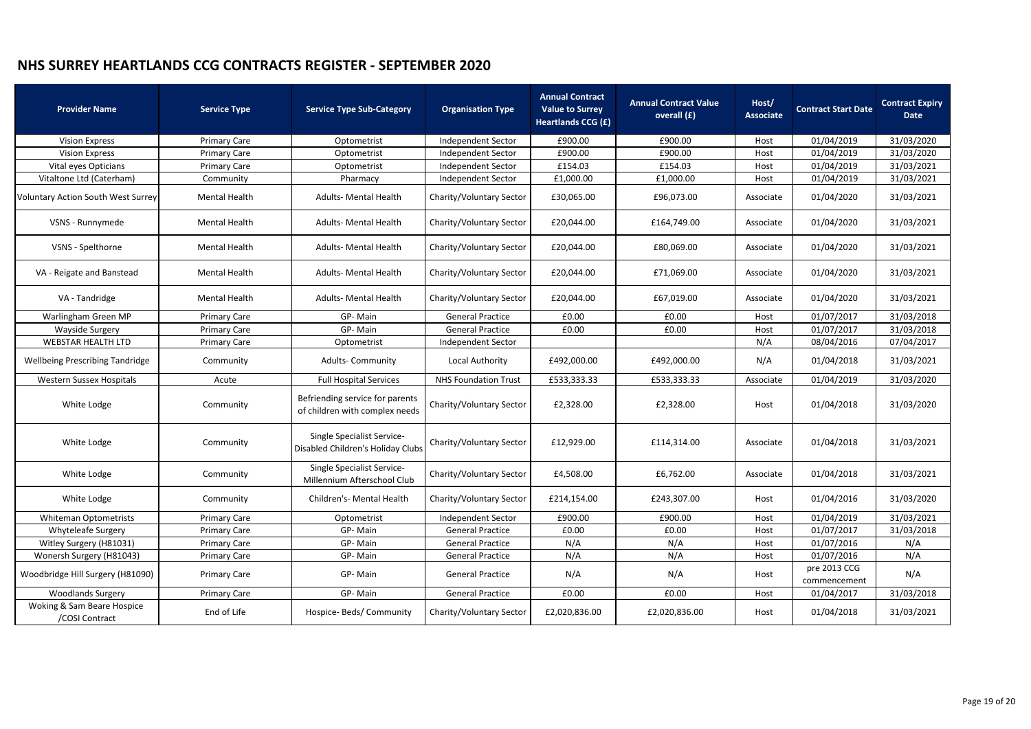| <b>Provider Name</b>                         | <b>Service Type</b>  | <b>Service Type Sub-Category</b>                                  | <b>Organisation Type</b>    | <b>Annual Contract</b><br><b>Value to Surrey</b><br><b>Heartlands CCG (£)</b> | <b>Annual Contract Value</b><br>overall (£) |           | <b>Contract Start Date</b>   | <b>Contract Expiry</b><br>Date |
|----------------------------------------------|----------------------|-------------------------------------------------------------------|-----------------------------|-------------------------------------------------------------------------------|---------------------------------------------|-----------|------------------------------|--------------------------------|
| <b>Vision Express</b>                        | <b>Primary Care</b>  | Optometrist                                                       | Independent Sector          | £900.00                                                                       | £900.00                                     | Host      | 01/04/2019                   | 31/03/2020                     |
| <b>Vision Express</b>                        | <b>Primary Care</b>  | Optometrist                                                       | Independent Sector          | £900.00                                                                       | £900.00                                     | Host      | 01/04/2019                   | 31/03/2020                     |
| Vital eyes Opticians                         | <b>Primary Care</b>  | Optometrist                                                       | Independent Sector          | £154.03                                                                       | £154.03                                     | Host      | 01/04/2019                   | 31/03/2021                     |
| Vitaltone Ltd (Caterham)                     | Community            | Pharmacy                                                          | Independent Sector          | £1,000.00                                                                     | £1,000.00                                   | Host      | 01/04/2019                   | 31/03/2021                     |
| <b>Voluntary Action South West Surrey</b>    | <b>Mental Health</b> | <b>Adults- Mental Health</b>                                      | Charity/Voluntary Sector    | £30,065.00                                                                    | £96,073.00                                  | Associate | 01/04/2020                   | 31/03/2021                     |
| VSNS - Runnymede                             | <b>Mental Health</b> | <b>Adults- Mental Health</b>                                      | Charity/Voluntary Sector    | £20,044.00                                                                    | £164,749.00                                 | Associate | 01/04/2020                   | 31/03/2021                     |
| VSNS - Spelthorne                            | <b>Mental Health</b> | <b>Adults- Mental Health</b>                                      | Charity/Voluntary Sector    | £20,044.00                                                                    | £80,069.00                                  | Associate | 01/04/2020                   | 31/03/2021                     |
| VA - Reigate and Banstead                    | <b>Mental Health</b> | <b>Adults- Mental Health</b>                                      | Charity/Voluntary Sector    | £20,044.00                                                                    | £71,069.00                                  | Associate | 01/04/2020                   | 31/03/2021                     |
| VA - Tandridge                               | <b>Mental Health</b> | <b>Adults- Mental Health</b>                                      | Charity/Voluntary Sector    | £20,044.00                                                                    | £67,019.00                                  | Associate | 01/04/2020                   | 31/03/2021                     |
| Warlingham Green MP                          | <b>Primary Care</b>  | GP-Main                                                           | <b>General Practice</b>     | £0.00<br>£0.00                                                                |                                             | Host      | 01/07/2017                   | 31/03/2018                     |
| Wayside Surgery                              | <b>Primary Care</b>  | GP-Main                                                           | <b>General Practice</b>     | £0.00                                                                         | £0.00                                       | Host      | 01/07/2017                   | 31/03/2018                     |
| <b>WEBSTAR HEALTH LTD</b>                    | <b>Primary Care</b>  | Optometrist                                                       | Independent Sector          |                                                                               |                                             | N/A       | 08/04/2016                   | 07/04/2017                     |
| <b>Wellbeing Prescribing Tandridge</b>       | Community            | <b>Adults- Community</b>                                          | Local Authority             | £492,000.00                                                                   | £492,000.00                                 | N/A       | 01/04/2018                   | 31/03/2021                     |
| <b>Western Sussex Hospitals</b>              | Acute                | <b>Full Hospital Services</b>                                     | <b>NHS Foundation Trust</b> | £533,333.33                                                                   | £533,333.33                                 | Associate | 01/04/2019                   | 31/03/2020                     |
| White Lodge                                  | Community            | Befriending service for parents<br>of children with complex needs | Charity/Voluntary Sector    | £2,328.00                                                                     | £2,328.00                                   | Host      | 01/04/2018                   | 31/03/2020                     |
| White Lodge                                  | Community            | Single Specialist Service-<br>Disabled Children's Holiday Clubs   | Charity/Voluntary Sector    | £12,929.00                                                                    | £114,314.00                                 | Associate | 01/04/2018                   | 31/03/2021                     |
| White Lodge                                  | Community            | Single Specialist Service-<br>Millennium Afterschool Club         | Charity/Voluntary Sector    | £4,508.00                                                                     | £6,762.00                                   | Associate | 01/04/2018                   | 31/03/2021                     |
| White Lodge                                  | Community            | Children's- Mental Health                                         | Charity/Voluntary Sector    | £214,154.00                                                                   | £243,307.00                                 | Host      | 01/04/2016                   | 31/03/2020                     |
| <b>Whiteman Optometrists</b>                 | <b>Primary Care</b>  | Optometrist                                                       | Independent Sector          | £900.00                                                                       | £900.00                                     | Host      | 01/04/2019                   | 31/03/2021                     |
| <b>Whyteleafe Surgery</b>                    | <b>Primary Care</b>  | GP-Main                                                           | <b>General Practice</b>     | £0.00                                                                         | £0.00                                       | Host      | 01/07/2017                   | 31/03/2018                     |
| Witley Surgery (H81031)                      | <b>Primary Care</b>  | GP-Main                                                           | <b>General Practice</b>     | N/A                                                                           | N/A                                         | Host      | 01/07/2016                   | N/A                            |
| Wonersh Surgery (H81043)                     | <b>Primary Care</b>  | GP-Main                                                           | <b>General Practice</b>     | N/A                                                                           | N/A                                         | Host      | 01/07/2016                   | N/A                            |
| Woodbridge Hill Surgery (H81090)             | <b>Primary Care</b>  | GP-Main                                                           | <b>General Practice</b>     | N/A                                                                           | N/A                                         | Host      | pre 2013 CCG<br>commencement | N/A                            |
| <b>Woodlands Surgery</b>                     | <b>Primary Care</b>  | GP-Main                                                           | <b>General Practice</b>     | £0.00                                                                         | £0.00                                       | Host      | 01/04/2017                   | 31/03/2018                     |
| Woking & Sam Beare Hospice<br>/COSI Contract | End of Life          | Hospice- Beds/ Community                                          | Charity/Voluntary Sector    | £2,020,836.00                                                                 | £2,020,836.00                               | Host      | 01/04/2018                   | 31/03/2021                     |